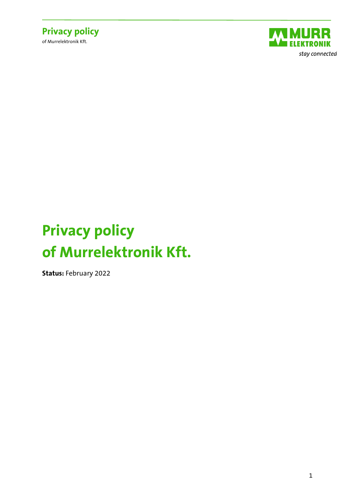



# **Privacy policy of Murrelektronik Kft.**

**Status:** February 2022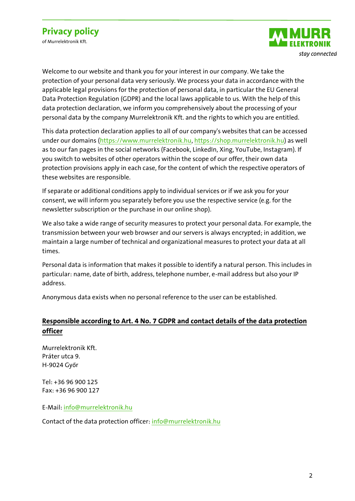of Murrelektronik Kft.



Welcome to our website and thank you for your interest in our company. We take the protection of your personal data very seriously. We process your data in accordance with the applicable legal provisions for the protection of personal data, in particular the EU General Data Protection Regulation (GDPR) and the local laws applicable to us. With the help of this data protection declaration, we inform you comprehensively about the processing of your personal data by the company Murrelektronik Kft. and the rights to which you are entitled.

This data protection declaration applies to all of our company's websites that can be accessed under our domains [\(https://www.murrelektronik.hu,](https://www.murrelektronik.hu/) [https://shop.murrelektronik.hu\)](https://shop.murrelektronik.hu/) as well as to our fan pages in the social networks (Facebook, LinkedIn, Xing, YouTube, Instagram). If you switch to websites of other operators within the scope of our offer, their own data protection provisions apply in each case, for the content of which the respective operators of these websites are responsible.

If separate or additional conditions apply to individual services or if we ask you for your consent, we will inform you separately before you use the respective service (e.g. for the newsletter subscription or the purchase in our online shop).

We also take a wide range of security measures to protect your personal data. For example, the transmission between your web browser and our servers is always encrypted; in addition, we maintain a large number of technical and organizational measures to protect your data at all times.

Personal data is information that makes it possible to identify a natural person. This includes in particular: name, date of birth, address, telephone number, e-mail address but also your IP address.

Anonymous data exists when no personal reference to the user can be established.

#### **Responsible according to Art. 4 No. 7 GDPR and contact details of the data protection officer**

Murrelektronik Kft. Práter utca 9. H-9024 Győr

Tel: +36 96 900 125 Fax: +36 96 900 127

E-Mail[: info@murrelektronik.hu](mailto:info@murrelektronik.hu)

Contact of the data protection officer: [info@murrelektronik.hu](mailto:info@murrelektronik.hu)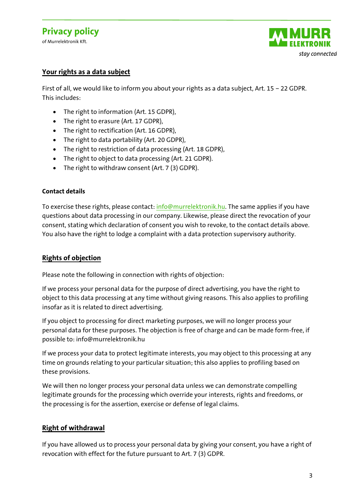of Murrelektronik Kft.



#### **Your rights as a data subject**

First of all, we would like to inform you about your rights as a data subject, Art. 15 – 22 GDPR. This includes:

- The right to information (Art. 15 GDPR),
- The right to erasure (Art. 17 GDPR),
- The right to rectification (Art. 16 GDPR),
- The right to data portability (Art. 20 GDPR),
- The right to restriction of data processing (Art. 18 GDPR),
- The right to object to data processing (Art. 21 GDPR).
- The right to withdraw consent (Art. 7 (3) GDPR).

#### **Contact details**

To exercise these rights, please contact: [info@murrelektronik.hu.](mailto:info@murrelektronik.hu) The same applies if you have questions about data processing in our company. Likewise, please direct the revocation of your consent, stating which declaration of consent you wish to revoke, to the contact details above. You also have the right to lodge a complaint with a data protection supervisory authority.

#### **Rights of objection**

Please note the following in connection with rights of objection:

If we process your personal data for the purpose of direct advertising, you have the right to object to this data processing at any time without giving reasons. This also applies to profiling insofar as it is related to direct advertising.

If you object to processing for direct marketing purposes, we will no longer process your personal data for these purposes. The objection is free of charge and can be made form-free, if possible to: info@murrelektronik.hu

If we process your data to protect legitimate interests, you may object to this processing at any time on grounds relating to your particular situation; this also applies to profiling based on these provisions.

We will then no longer process your personal data unless we can demonstrate compelling legitimate grounds for the processing which override your interests, rights and freedoms, or the processing is for the assertion, exercise or defense of legal claims.

#### **Right of withdrawal**

If you have allowed us to process your personal data by giving your consent, you have a right of revocation with effect for the future pursuant to Art. 7 (3) GDPR.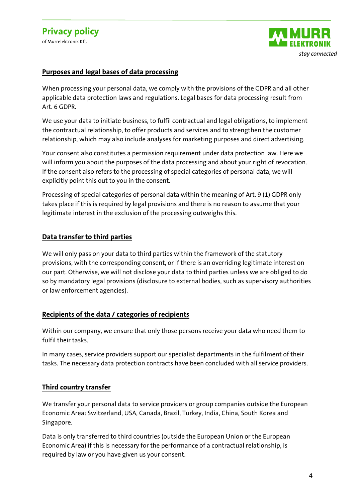

#### **Purposes and legal bases of data processing**

When processing your personal data, we comply with the provisions of the GDPR and all other applicable data protection laws and regulations. Legal bases for data processing result from Art. 6 GDPR.

We use your data to initiate business, to fulfil contractual and legal obligations, to implement the contractual relationship, to offer products and services and to strengthen the customer relationship, which may also include analyses for marketing purposes and direct advertising.

Your consent also constitutes a permission requirement under data protection law. Here we will inform you about the purposes of the data processing and about your right of revocation. If the consent also refers to the processing of special categories of personal data, we will explicitly point this out to you in the consent.

Processing of special categories of personal data within the meaning of Art. 9 (1) GDPR only takes place if this is required by legal provisions and there is no reason to assume that your legitimate interest in the exclusion of the processing outweighs this.

#### **Data transfer to third parties**

We will only pass on your data to third parties within the framework of the statutory provisions, with the corresponding consent, or if there is an overriding legitimate interest on our part. Otherwise, we will not disclose your data to third parties unless we are obliged to do so by mandatory legal provisions (disclosure to external bodies, such as supervisory authorities or law enforcement agencies).

#### **Recipients of the data / categories of recipients**

Within our company, we ensure that only those persons receive your data who need them to fulfil their tasks.

In many cases, service providers support our specialist departments in the fulfilment of their tasks. The necessary data protection contracts have been concluded with all service providers.

#### **Third country transfer**

We transfer your personal data to service providers or group companies outside the European Economic Area: Switzerland, USA, Canada, Brazil, Turkey, India, China, South Korea and Singapore.

Data is only transferred to third countries (outside the European Union or the European Economic Area) if this is necessary for the performance of a contractual relationship, is required by law or you have given us your consent.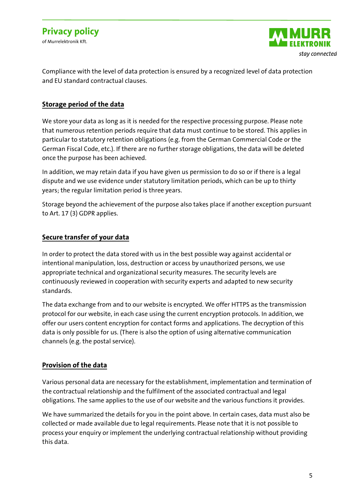

Compliance with the level of data protection is ensured by a recognized level of data protection and EU standard contractual clauses.

#### **Storage period of the data**

We store your data as long as it is needed for the respective processing purpose. Please note that numerous retention periods require that data must continue to be stored. This applies in particular to statutory retention obligations (e.g. from the German Commercial Code or the German Fiscal Code, etc.). If there are no further storage obligations, the data will be deleted once the purpose has been achieved.

In addition, we may retain data if you have given us permission to do so or if there is a legal dispute and we use evidence under statutory limitation periods, which can be up to thirty years; the regular limitation period is three years.

Storage beyond the achievement of the purpose also takes place if another exception pursuant to Art. 17 (3) GDPR applies.

#### **Secure transfer of your data**

In order to protect the data stored with us in the best possible way against accidental or intentional manipulation, loss, destruction or access by unauthorized persons, we use appropriate technical and organizational security measures. The security levels are continuously reviewed in cooperation with security experts and adapted to new security standards.

The data exchange from and to our website is encrypted. We offer HTTPS as the transmission protocol for our website, in each case using the current encryption protocols. In addition, we offer our users content encryption for contact forms and applications. The decryption of this data is only possible for us. (There is also the option of using alternative communication channels (e.g. the postal service).

#### **Provision of the data**

Various personal data are necessary for the establishment, implementation and termination of the contractual relationship and the fulfilment of the associated contractual and legal obligations. The same applies to the use of our website and the various functions it provides.

We have summarized the details for you in the point above. In certain cases, data must also be collected or made available due to legal requirements. Please note that it is not possible to process your enquiry or implement the underlying contractual relationship without providing this data.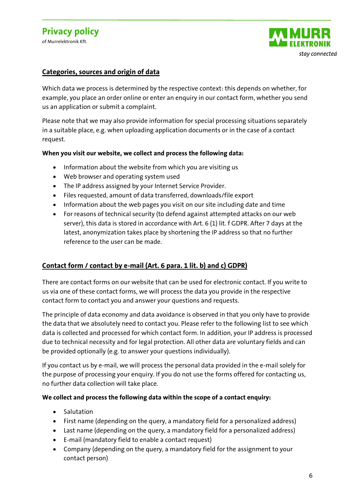of Murrelektronik Kft.



#### **Categories, sources and origin of data**

Which data we process is determined by the respective context: this depends on whether, for example, you place an order online or enter an enquiry in our contact form, whether you send us an application or submit a complaint.

Please note that we may also provide information for special processing situations separately in a suitable place, e.g. when uploading application documents or in the case of a contact request.

#### **When you visit our website, we collect and process the following data:**

- Information about the website from which you are visiting us
- Web browser and operating system used
- The IP address assigned by your Internet Service Provider.
- Files requested, amount of data transferred, downloads/file export
- Information about the web pages you visit on our site including date and time
- For reasons of technical security (to defend against attempted attacks on our web server), this data is stored in accordance with Art. 6 (1) lit. f GDPR. After 7 days at the latest, anonymization takes place by shortening the IP address so that no further reference to the user can be made.

#### **Contact form / contact by e-mail (Art. 6 para. 1 lit. b) and c) GDPR)**

There are contact forms on our website that can be used for electronic contact. If you write to us via one of these contact forms, we will process the data you provide in the respective contact form to contact you and answer your questions and requests.

The principle of data economy and data avoidance is observed in that you only have to provide the data that we absolutely need to contact you. Please refer to the following list to see which data is collected and processed for which contact form. In addition, your IP address is processed due to technical necessity and for legal protection. All other data are voluntary fields and can be provided optionally (e.g. to answer your questions individually).

If you contact us by e-mail, we will process the personal data provided in the e-mail solely for the purpose of processing your enquiry. If you do not use the forms offered for contacting us, no further data collection will take place.

#### **We collect and process the following data within the scope of a contact enquiry:**

- Salutation
- First name (depending on the query, a mandatory field for a personalized address)
- Last name (depending on the query, a mandatory field for a personalized address)
- E-mail (mandatory field to enable a contact request)
- Company (depending on the query, a mandatory field for the assignment to your contact person)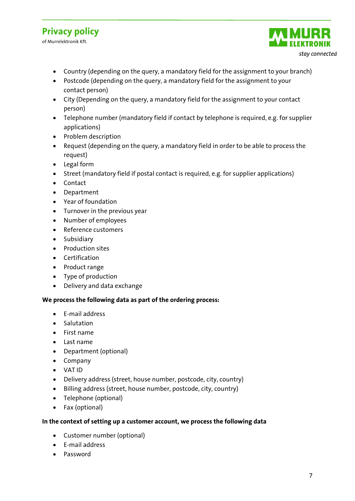of Murrelektronik Kft.



- Country (depending on the query, a mandatory field for the assignment to your branch)
- Postcode (depending on the query, a mandatory field for the assignment to your contact person)
- City (Depending on the query, a mandatory field for the assignment to your contact person)
- Telephone number (mandatory field if contact by telephone is required, e.g. for supplier applications)
- Problem description
- Request (depending on the query, a mandatory field in order to be able to process the request)
- Legal form
- Street (mandatory field if postal contact is required, e.g. for supplier applications)
- Contact
- Department
- Year of foundation
- Turnover in the previous year
- Number of employees
- Reference customers
- Subsidiary
- Production sites
- Certification
- Product range
- Type of production
- Delivery and data exchange

#### **We process the following data as part of the ordering process:**

- E-mail address
- Salutation
- First name
- Last name
- Department (optional)
- Company
- VAT ID
- Delivery address (street, house number, postcode, city, country)
- Billing address (street, house number, postcode, city, country)
- Telephone (optional)
- Fax (optional)

#### **In the context of setting up a customer account, we process the following data**

- Customer number (optional)
- E-mail address
- Password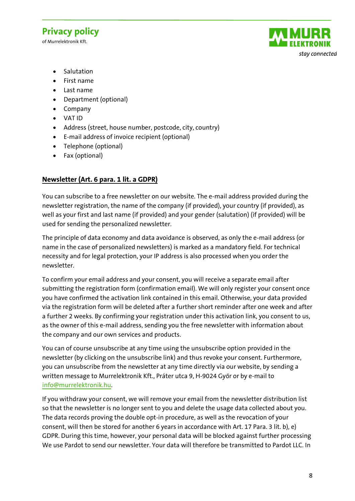of Murrelektronik Kft.



- Salutation
- First name
- Last name
- Department (optional)
- Company
- VAT ID
- Address (street, house number, postcode, city, country)
- E-mail address of invoice recipient (optional)
- Telephone (optional)
- Fax (optional)

#### **Newsletter (Art. 6 para. 1 lit. a GDPR)**

You can subscribe to a free newsletter on our website. The e-mail address provided during the newsletter registration, the name of the company (if provided), your country (if provided), as well as your first and last name (if provided) and your gender (salutation) (if provided) will be used for sending the personalized newsletter.

The principle of data economy and data avoidance is observed, as only the e-mail address (or name in the case of personalized newsletters) is marked as a mandatory field. For technical necessity and for legal protection, your IP address is also processed when you order the newsletter.

To confirm your email address and your consent, you will receive a separate email after submitting the registration form (confirmation email). We will only register your consent once you have confirmed the activation link contained in this email. Otherwise, your data provided via the registration form will be deleted after a further short reminder after one week and after a further 2 weeks. By confirming your registration under this activation link, you consent to us, as the owner of this e-mail address, sending you the free newsletter with information about the company and our own services and products.

You can of course unsubscribe at any time using the unsubscribe option provided in the newsletter (by clicking on the unsubscribe link) and thus revoke your consent. Furthermore, you can unsubscribe from the newsletter at any time directly via our website, by sending a written message to Murrelektronik Kft., Práter utca 9, H-9024 Győr or by e-mail to [info@murrelektronik.hu.](mailto:info@murrelektronik.hu)

If you withdraw your consent, we will remove your email from the newsletter distribution list so that the newsletter is no longer sent to you and delete the usage data collected about you. The data records proving the double opt-in procedure, as well as the revocation of your consent, will then be stored for another 6 years in accordance with Art. 17 Para. 3 lit. b), e) GDPR. During this time, however, your personal data will be blocked against further processing We use Pardot to send our newsletter. Your data will therefore be transmitted to Pardot LLC. In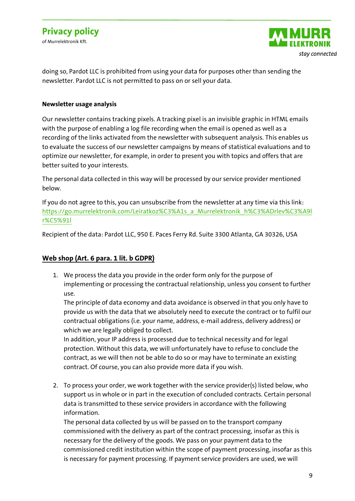of Murrelektronik Kft.



doing so, Pardot LLC is prohibited from using your data for purposes other than sending the newsletter. Pardot LLC is not permitted to pass on or sell your data.

#### **Newsletter usage analysis**

Our newsletter contains tracking pixels. A tracking pixel is an invisible graphic in HTML emails with the purpose of enabling a log file recording when the email is opened as well as a recording of the links activated from the newsletter with subsequent analysis. This enables us to evaluate the success of our newsletter campaigns by means of statistical evaluations and to optimize our newsletter, for example, in order to present you with topics and offers that are better suited to your interests.

The personal data collected in this way will be processed by our service provider mentioned below.

If you do not agree to this, you can unsubscribe from the newsletter at any time via this link: [https://go.murrelektronik.com/Leiratkoz%C3%A1s\\_a\\_Murrelektronik\\_h%C3%ADrlev%C3%A9l](https://go.murrelektronik.com/Leiratkoz%C3%A1s_a_Murrelektronik_h%C3%ADrlev%C3%A9lr%C5%91l) [r%C5%91l](https://go.murrelektronik.com/Leiratkoz%C3%A1s_a_Murrelektronik_h%C3%ADrlev%C3%A9lr%C5%91l)

Recipient of the data: Pardot LLC, 950 E. Paces Ferry Rd. Suite 3300 Atlanta, GA 30326, USA

#### **Web shop (Art. 6 para. 1 lit. b GDPR)**

1. We process the data you provide in the order form only for the purpose of implementing or processing the contractual relationship, unless you consent to further use.

The principle of data economy and data avoidance is observed in that you only have to provide us with the data that we absolutely need to execute the contract or to fulfil our contractual obligations (i.e. your name, address, e-mail address, delivery address) or which we are legally obliged to collect.

In addition, your IP address is processed due to technical necessity and for legal protection. Without this data, we will unfortunately have to refuse to conclude the contract, as we will then not be able to do so or may have to terminate an existing contract. Of course, you can also provide more data if you wish.

2. To process your order, we work together with the service provider(s) listed below, who support us in whole or in part in the execution of concluded contracts. Certain personal data is transmitted to these service providers in accordance with the following information.

The personal data collected by us will be passed on to the transport company commissioned with the delivery as part of the contract processing, insofar as this is necessary for the delivery of the goods. We pass on your payment data to the commissioned credit institution within the scope of payment processing, insofar as this is necessary for payment processing. If payment service providers are used, we will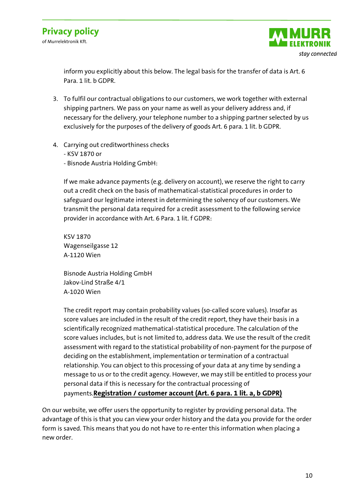

inform you explicitly about this below. The legal basis for the transfer of data is Art. 6 Para. 1 lit. b GDPR.

- 3. To fulfil our contractual obligations to our customers, we work together with external shipping partners. We pass on your name as well as your delivery address and, if necessary for the delivery, your telephone number to a shipping partner selected by us exclusively for the purposes of the delivery of goods Art. 6 para. 1 lit. b GDPR.
- 4. Carrying out creditworthiness checks
	- KSV 1870 or
	- Bisnode Austria Holding GmbH:

If we make advance payments (e.g. delivery on account), we reserve the right to carry out a credit check on the basis of mathematical-statistical procedures in order to safeguard our legitimate interest in determining the solvency of our customers. We transmit the personal data required for a credit assessment to the following service provider in accordance with Art. 6 Para. 1 lit. f GDPR:

KSV 1870 Wagenseilgasse 12 A-1120 Wien

Bisnode Austria Holding GmbH Jakov-Lind Straße 4/1 A-1020 Wien

The credit report may contain probability values (so-called score values). Insofar as score values are included in the result of the credit report, they have their basis in a scientifically recognized mathematical-statistical procedure. The calculation of the score values includes, but is not limited to, address data. We use the result of the credit assessment with regard to the statistical probability of non-payment for the purpose of deciding on the establishment, implementation or termination of a contractual relationship. You can object to this processing of your data at any time by sending a message to us or to the credit agency. However, we may still be entitled to process your personal data if this is necessary for the contractual processing of payments.**Registration / customer account (Art. 6 para. 1 lit. a, b GDPR)**

On our website, we offer users the opportunity to register by providing personal data. The advantage of this is that you can view your order history and the data you provide for the order form is saved. This means that you do not have to re-enter this information when placing a new order.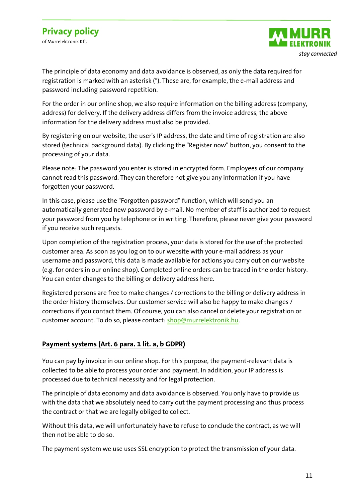of Murrelektronik Kft.



The principle of data economy and data avoidance is observed, as only the data required for registration is marked with an asterisk (\*). These are, for example, the e-mail address and password including password repetition.

For the order in our online shop, we also require information on the billing address (company, address) for delivery. If the delivery address differs from the invoice address, the above information for the delivery address must also be provided.

By registering on our website, the user's IP address, the date and time of registration are also stored (technical background data). By clicking the "Register now" button, you consent to the processing of your data.

Please note: The password you enter is stored in encrypted form. Employees of our company cannot read this password. They can therefore not give you any information if you have forgotten your password.

In this case, please use the "Forgotten password" function, which will send you an automatically generated new password by e-mail. No member of staff is authorized to request your password from you by telephone or in writing. Therefore, please never give your password if you receive such requests.

Upon completion of the registration process, your data is stored for the use of the protected customer area. As soon as you log on to our website with your e-mail address as your username and password, this data is made available for actions you carry out on our website (e.g. for orders in our online shop). Completed online orders can be traced in the order history. You can enter changes to the billing or delivery address here.

Registered persons are free to make changes / corrections to the billing or delivery address in the order history themselves. Our customer service will also be happy to make changes / corrections if you contact them. Of course, you can also cancel or delete your registration or customer account. To do so, please contact: [shop@murrelektronik.hu.](mailto:shop@murrelektronik.hu)

#### **Payment systems (Art. 6 para. 1 lit. a, b GDPR)**

You can pay by invoice in our online shop. For this purpose, the payment-relevant data is collected to be able to process your order and payment. In addition, your IP address is processed due to technical necessity and for legal protection.

The principle of data economy and data avoidance is observed. You only have to provide us with the data that we absolutely need to carry out the payment processing and thus process the contract or that we are legally obliged to collect.

Without this data, we will unfortunately have to refuse to conclude the contract, as we will then not be able to do so.

The payment system we use uses SSL encryption to protect the transmission of your data.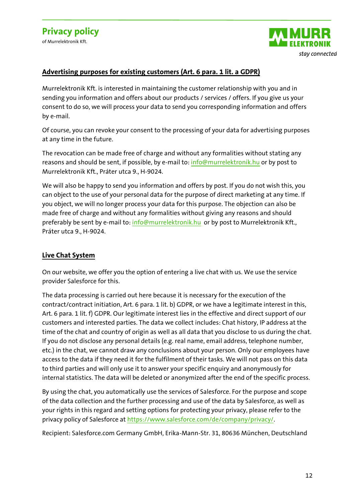



#### **Advertising purposes for existing customers (Art. 6 para. 1 lit. a GDPR)**

Murrelektronik Kft. is interested in maintaining the customer relationship with you and in sending you information and offers about our products / services / offers. If you give us your consent to do so, we will process your data to send you corresponding information and offers by e-mail.

Of course, you can revoke your consent to the processing of your data for advertising purposes at any time in the future.

The revocation can be made free of charge and without any formalities without stating any reasons and should be sent, if possible, by e-mail to: [info@murrelektronik.hu](mailto:info@murrelektronik.hu) or by post to Murrelektronik Kft., Práter utca 9., H-9024.

We will also be happy to send you information and offers by post. If you do not wish this, you can object to the use of your personal data for the purpose of direct marketing at any time. If you object, we will no longer process your data for this purpose. The objection can also be made free of charge and without any formalities without giving any reasons and should preferably be sent by e-mail to[: info@murrelektronik.hu](mailto:info@murrelektronik.hu) or by post to Murrelektronik Kft., Práter utca 9., H-9024.

#### **Live Chat System**

On our website, we offer you the option of entering a live chat with us. We use the service provider Salesforce for this.

The data processing is carried out here because it is necessary for the execution of the contract/contract initiation, Art. 6 para. 1 lit. b) GDPR, or we have a legitimate interest in this, Art. 6 para. 1 lit. f) GDPR. Our legitimate interest lies in the effective and direct support of our customers and interested parties. The data we collect includes: Chat history, IP address at the time of the chat and country of origin as well as all data that you disclose to us during the chat. If you do not disclose any personal details (e.g. real name, email address, telephone number, etc.) in the chat, we cannot draw any conclusions about your person. Only our employees have access to the data if they need it for the fulfilment of their tasks. We will not pass on this data to third parties and will only use it to answer your specific enquiry and anonymously for internal statistics. The data will be deleted or anonymized after the end of the specific process.

By using the chat, you automatically use the services of Salesforce. For the purpose and scope of the data collection and the further processing and use of the data by Salesforce, as well as your rights in this regard and setting options for protecting your privacy, please refer to the privacy policy of Salesforce at [https://www.salesforce.com/de/company/privacy/.](https://www.salesforce.com/de/company/privacy/)

Recipient: Salesforce.com Germany GmbH, Erika-Mann-Str. 31, 80636 München, Deutschland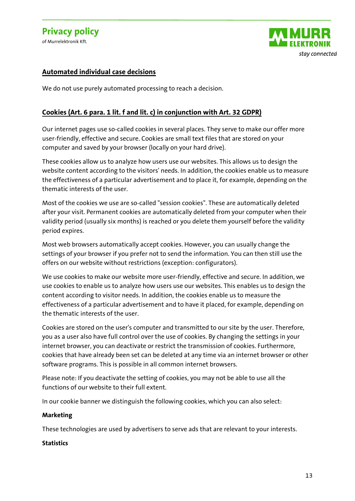

#### **Automated individual case decisions**

We do not use purely automated processing to reach a decision.

#### **Cookies (Art. 6 para. 1 lit. f and lit. c) in conjunction with Art. 32 GDPR)**

Our internet pages use so-called cookies in several places. They serve to make our offer more user-friendly, effective and secure. Cookies are small text files that are stored on your computer and saved by your browser (locally on your hard drive).

These cookies allow us to analyze how users use our websites. This allows us to design the website content according to the visitors' needs. In addition, the cookies enable us to measure the effectiveness of a particular advertisement and to place it, for example, depending on the thematic interests of the user.

Most of the cookies we use are so-called "session cookies". These are automatically deleted after your visit. Permanent cookies are automatically deleted from your computer when their validity period (usually six months) is reached or you delete them yourself before the validity period expires.

Most web browsers automatically accept cookies. However, you can usually change the settings of your browser if you prefer not to send the information. You can then still use the offers on our website without restrictions (exception: configurators).

We use cookies to make our website more user-friendly, effective and secure. In addition, we use cookies to enable us to analyze how users use our websites. This enables us to design the content according to visitor needs. In addition, the cookies enable us to measure the effectiveness of a particular advertisement and to have it placed, for example, depending on the thematic interests of the user.

Cookies are stored on the user's computer and transmitted to our site by the user. Therefore, you as a user also have full control over the use of cookies. By changing the settings in your internet browser, you can deactivate or restrict the transmission of cookies. Furthermore, cookies that have already been set can be deleted at any time via an internet browser or other software programs. This is possible in all common internet browsers.

Please note: If you deactivate the setting of cookies, you may not be able to use all the functions of our website to their full extent.

In our cookie banner we distinguish the following cookies, which you can also select:

#### **Marketing**

These technologies are used by advertisers to serve ads that are relevant to your interests.

#### **Statistics**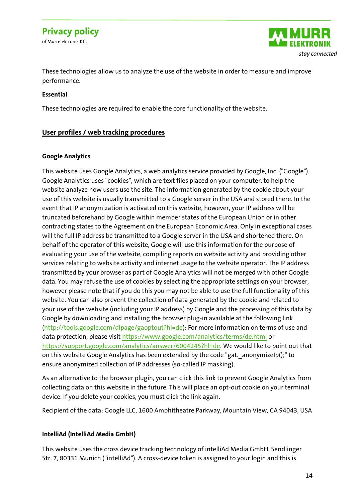of Murrelektronik Kft.



These technologies allow us to analyze the use of the website in order to measure and improve performance.

#### **Essential**

These technologies are required to enable the core functionality of the website.

#### **User profiles / web tracking procedures**

#### **Google Analytics**

This website uses Google Analytics, a web analytics service provided by Google, Inc. ("Google"). Google Analytics uses "cookies", which are text files placed on your computer, to help the website analyze how users use the site. The information generated by the cookie about your use of this website is usually transmitted to a Google server in the USA and stored there. In the event that IP anonymization is activated on this website, however, your IP address will be truncated beforehand by Google within member states of the European Union or in other contracting states to the Agreement on the European Economic Area. Only in exceptional cases will the full IP address be transmitted to a Google server in the USA and shortened there. On behalf of the operator of this website, Google will use this information for the purpose of evaluating your use of the website, compiling reports on website activity and providing other services relating to website activity and internet usage to the website operator. The IP address transmitted by your browser as part of Google Analytics will not be merged with other Google data. You may refuse the use of cookies by selecting the appropriate settings on your browser, however please note that if you do this you may not be able to use the full functionality of this website. You can also prevent the collection of data generated by the cookie and related to your use of the website (including your IP address) by Google and the processing of this data by Google by downloading and installing the browser plug-in available at the following link [\(http://tools.google.com/dlpage/gaoptout?hl=de\)](http://tools.google.com/dlpage/gaoptout?hl=de): For more information on terms of use and data protection, please visit<https://www.google.com/analytics/terms/de.html> or [https://support.google.com/analytics/answer/6004245?hl=de.](https://support.google.com/analytics/answer/6004245?hl=de) We would like to point out that on this website Google Analytics has been extended by the code "gat.\_anonymizeIp();" to ensure anonymized collection of IP addresses (so-called IP masking).

As an alternative to the browser plugin, you can click this link to prevent Google Analytics from collecting data on this website in the future. This will place an opt-out cookie on your terminal device. If you delete your cookies, you must click the link again.

Recipient of the data: Google LLC, 1600 Amphitheatre Parkway, Mountain View, CA 94043, USA

#### **IntelliAd (IntelliAd Media GmbH)**

This website uses the cross device tracking technology of intelliAd Media GmbH, Sendlinger Str. 7, 80331 Munich ("intelliAd"). A cross-device token is assigned to your login and this is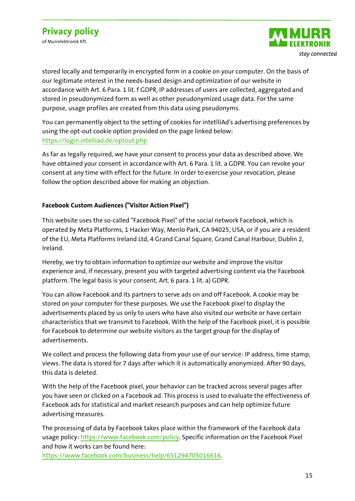of Murrelektronik Kft.



stored locally and temporarily in encrypted form in a cookie on your computer. On the basis of our legitimate interest in the needs-based design and optimization of our website in accordance with Art. 6 Para. 1 lit. f GDPR, IP addresses of users are collected, aggregated and stored in pseudonymized form as well as other pseudonymized usage data. For the same purpose, usage profiles are created from this data using pseudonyms.

You can permanently object to the setting of cookies for intetlliAd's advertising preferences by using the opt-out cookie option provided on the page linked below: <https://login.intelliad.de/optout.php>

As far as legally required, we have your consent to process your data as described above. We have obtained your consent in accordance with Art. 6 Para. 1 lit. a GDPR. You can revoke your consent at any time with effect for the future. In order to exercise your revocation, please follow the option described above for making an objection.

#### **Facebook Custom Audiences ("Visitor Action Pixel")**

This website uses the so-called "Facebook Pixel" of the social network Facebook, which is operated by Meta Platforms, 1 Hacker Way, Menlo Park, CA 94025, USA, or if you are a resident of the EU, Meta Platforms Ireland Ltd, 4 Grand Canal Square, Grand Canal Harbour, Dublin 2, Ireland.

Hereby, we try to obtain information to optimize our website and improve the visitor experience and, if necessary, present you with targeted advertising content via the Facebook platform. The legal basis is your consent, Art. 6 para. 1 lit. a) GDPR.

You can allow Facebook and its partners to serve ads on and off Facebook. A cookie may be stored on your computer for these purposes. We use the Facebook pixel to display the advertisements placed by us only to users who have also visited our website or have certain characteristics that we transmit to Facebook. With the help of the Facebook pixel, it is possible for Facebook to determine our website visitors as the target group for the display of advertisements.

We collect and process the following data from your use of our service: IP address, time stamp, views. The data is stored for 7 days after which it is automatically anonymized. After 90 days, this data is deleted.

With the help of the Facebook pixel, your behavior can be tracked across several pages after you have seen or clicked on a Facebook ad. This process is used to evaluate the effectiveness of Facebook ads for statistical and market research purposes and can help optimize future advertising measures.

The processing of data by Facebook takes place within the framework of the Facebook data usage policy: [https://www.facebook.com/policy.](https://www.facebook.com/policy) Specific information on the Facebook Pixel and how it works can be found here:

[https://www.facebook.com/business/help/651294705016616.](https://www.facebook.com/business/help/651294705016616)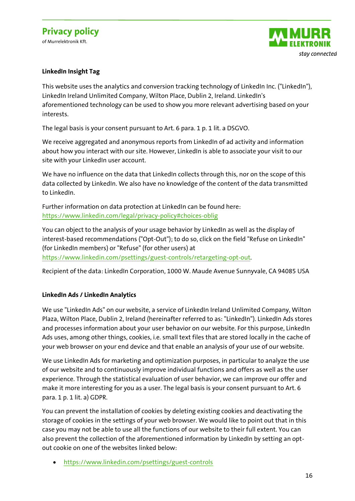of Murrelektronik Kft.



#### **LinkedIn Insight Tag**

This website uses the analytics and conversion tracking technology of LinkedIn Inc. ("LinkedIn"), LinkedIn Ireland Unlimited Company, Wilton Place, Dublin 2, Ireland. LinkedIn's aforementioned technology can be used to show you more relevant advertising based on your interests.

The legal basis is your consent pursuant to Art. 6 para. 1 p. 1 lit. a DSGVO.

We receive aggregated and anonymous reports from LinkedIn of ad activity and information about how you interact with our site. However, LinkedIn is able to associate your visit to our site with your LinkedIn user account.

We have no influence on the data that LinkedIn collects through this, nor on the scope of this data collected by LinkedIn. We also have no knowledge of the content of the data transmitted to LinkedIn.

Further information on data protection at LinkedIn can be found here: <https://www.linkedin.com/legal/privacy-policy#choices-oblig>

You can object to the analysis of your usage behavior by LinkedIn as well as the display of interest-based recommendations ("Opt-Out"); to do so, click on the field "Refuse on LinkedIn" (for LinkedIn members) or "Refuse" (for other users) at

[https://www.linkedin.com/psettings/guest-controls/retargeting-opt-out.](https://www.linkedin.com/psettings/guest-controls/retargeting-opt-out)

Recipient of the data: LinkedIn Corporation, 1000 W. Maude Avenue Sunnyvale, CA 94085 USA

#### **LinkedIn Ads / LinkedIn Analytics**

We use "LinkedIn Ads" on our website, a service of LinkedIn Ireland Unlimited Company, Wilton Plaza, Wilton Place, Dublin 2, Ireland (hereinafter referred to as: "LinkedIn"). LinkedIn Ads stores and processes information about your user behavior on our website. For this purpose, LinkedIn Ads uses, among other things, cookies, i.e. small text files that are stored locally in the cache of your web browser on your end device and that enable an analysis of your use of our website.

We use LinkedIn Ads for marketing and optimization purposes, in particular to analyze the use of our website and to continuously improve individual functions and offers as well as the user experience. Through the statistical evaluation of user behavior, we can improve our offer and make it more interesting for you as a user. The legal basis is your consent pursuant to Art. 6 para. 1 p. 1 lit. a) GDPR.

You can prevent the installation of cookies by deleting existing cookies and deactivating the storage of cookies in the settings of your web browser. We would like to point out that in this case you may not be able to use all the functions of our website to their full extent. You can also prevent the collection of the aforementioned information by LinkedIn by setting an optout cookie on one of the websites linked below:

• <https://www.linkedin.com/psettings/guest-controls>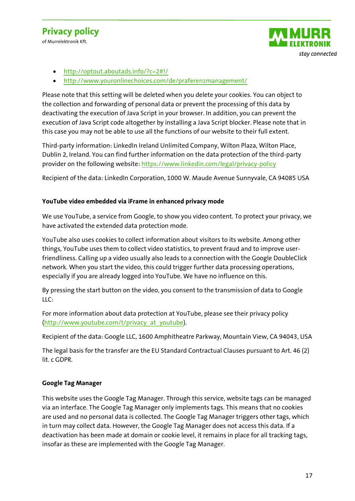of Murrelektronik Kft.



- <http://optout.aboutads.info/?c=2#!/>
- <http://www.youronlinechoices.com/de/praferenzmanagement/>

Please note that this setting will be deleted when you delete your cookies. You can object to the collection and forwarding of personal data or prevent the processing of this data by deactivating the execution of Java Script in your browser. In addition, you can prevent the execution of Java Script code altogether by installing a Java Script blocker. Please note that in this case you may not be able to use all the functions of our website to their full extent.

Third-party information: LinkedIn Ireland Unlimited Company, Wilton Plaza, Wilton Place, Dublin 2, Ireland. You can find further information on the data protection of the third-party provider on the following website:<https://www.linkedin.com/legal/privacy-policy>

Recipient of the data: LinkedIn Corporation, 1000 W. Maude Avenue Sunnyvale, CA 94085 USA

#### **YouTube video embedded via iFrame in enhanced privacy mode**

We use YouTube, a service from Google, to show you video content. To protect your privacy, we have activated the extended data protection mode.

YouTube also uses cookies to collect information about visitors to its website. Among other things, YouTube uses them to collect video statistics, to prevent fraud and to improve userfriendliness. Calling up a video usually also leads to a connection with the Google DoubleClick network. When you start the video, this could trigger further data processing operations, especially if you are already logged into YouTube. We have no influence on this.

By pressing the start button on the video, you consent to the transmission of data to Google LLC:

For more information about data protection at YouTube, please see their privacy policy [\(http://www.youtube.com/t/privacy\\_at\\_youtube\)](http://www.youtube.com/t/privacy_at_youtube).

Recipient of the data: Google LLC, 1600 Amphitheatre Parkway, Mountain View, CA 94043, USA

The legal basis for the transfer are the EU Standard Contractual Clauses pursuant to Art. 46 (2) lit. c GDPR.

#### **Google Tag Manager**

This website uses the Google Tag Manager. Through this service, website tags can be managed via an interface. The Google Tag Manager only implements tags. This means that no cookies are used and no personal data is collected. The Google Tag Manager triggers other tags, which in turn may collect data. However, the Google Tag Manager does not access this data. If a deactivation has been made at domain or cookie level, it remains in place for all tracking tags, insofar as these are implemented with the Google Tag Manager.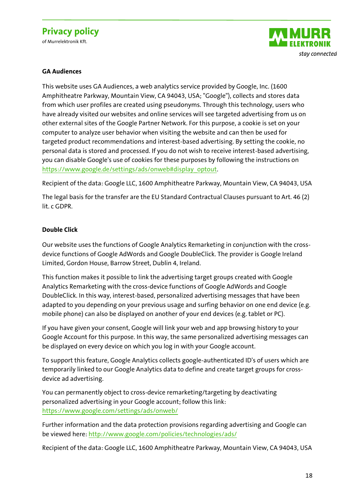of Murrelektronik Kft.



#### **GA Audiences**

This website uses GA Audiences, a web analytics service provided by Google, Inc. (1600 Amphitheatre Parkway, Mountain View, CA 94043, USA; "Google"), collects and stores data from which user profiles are created using pseudonyms. Through this technology, users who have already visited our websites and online services will see targeted advertising from us on other external sites of the Google Partner Network. For this purpose, a cookie is set on your computer to analyze user behavior when visiting the website and can then be used for targeted product recommendations and interest-based advertising. By setting the cookie, no personal data is stored and processed. If you do not wish to receive interest-based advertising, you can disable Google's use of cookies for these purposes by following the instructions on [https://www.google.de/settings/ads/onweb#display\\_optout.](https://www.google.de/settings/ads/onweb#display_optout)

Recipient of the data: Google LLC, 1600 Amphitheatre Parkway, Mountain View, CA 94043, USA

The legal basis for the transfer are the EU Standard Contractual Clauses pursuant to Art. 46 (2) lit. c GDPR.

#### **Double Click**

Our website uses the functions of Google Analytics Remarketing in conjunction with the crossdevice functions of Google AdWords and Google DoubleClick. The provider is Google Ireland Limited, Gordon House, Barrow Street, Dublin 4, Ireland.

This function makes it possible to link the advertising target groups created with Google Analytics Remarketing with the cross-device functions of Google AdWords and Google DoubleClick. In this way, interest-based, personalized advertising messages that have been adapted to you depending on your previous usage and surfing behavior on one end device (e.g. mobile phone) can also be displayed on another of your end devices (e.g. tablet or PC).

If you have given your consent, Google will link your web and app browsing history to your Google Account for this purpose. In this way, the same personalized advertising messages can be displayed on every device on which you log in with your Google account.

To support this feature, Google Analytics collects google-authenticated ID's of users which are temporarily linked to our Google Analytics data to define and create target groups for crossdevice ad advertising.

You can permanently object to cross-device remarketing/targeting by deactivating personalized advertising in your Google account; follow this link: <https://www.google.com/settings/ads/onweb/>

Further information and the data protection provisions regarding advertising and Google can be viewed here[: http://www.google.com/policies/technologies/ads/](http://www.google.com/policies/technologies/ads/)

Recipient of the data: Google LLC, 1600 Amphitheatre Parkway, Mountain View, CA 94043, USA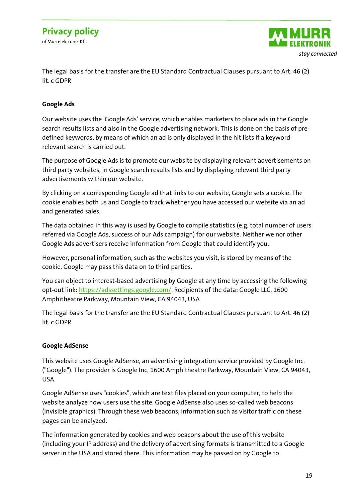of Murrelektronik Kft.



The legal basis for the transfer are the EU Standard Contractual Clauses pursuant to Art. 46 (2) lit. c GDPR

#### **Google Ads**

Our website uses the 'Google Ads' service, which enables marketers to place ads in the Google search results lists and also in the Google advertising network. This is done on the basis of predefined keywords, by means of which an ad is only displayed in the hit lists if a keywordrelevant search is carried out.

The purpose of Google Ads is to promote our website by displaying relevant advertisements on third party websites, in Google search results lists and by displaying relevant third party advertisements within our website.

By clicking on a corresponding Google ad that links to our website, Google sets a cookie. The cookie enables both us and Google to track whether you have accessed our website via an ad and generated sales.

The data obtained in this way is used by Google to compile statistics (e.g. total number of users referred via Google Ads, success of our Ads campaign) for our website. Neither we nor other Google Ads advertisers receive information from Google that could identify you.

However, personal information, such as the websites you visit, is stored by means of the cookie. Google may pass this data on to third parties.

You can object to interest-based advertising by Google at any time by accessing the following opt-out link: [https://adssettings.google.com/.](https://adssettings.google.com/) Recipients of the data: Google LLC, 1600 Amphitheatre Parkway, Mountain View, CA 94043, USA

The legal basis for the transfer are the EU Standard Contractual Clauses pursuant to Art. 46 (2) lit. c GDPR.

#### **Google AdSense**

This website uses Google AdSense, an advertising integration service provided by Google Inc. ("Google"). The provider is Google Inc, 1600 Amphitheatre Parkway, Mountain View, CA 94043, USA.

Google AdSense uses "cookies", which are text files placed on your computer, to help the website analyze how users use the site. Google AdSense also uses so-called web beacons (invisible graphics). Through these web beacons, information such as visitor traffic on these pages can be analyzed.

The information generated by cookies and web beacons about the use of this website (including your IP address) and the delivery of advertising formats is transmitted to a Google server in the USA and stored there. This information may be passed on by Google to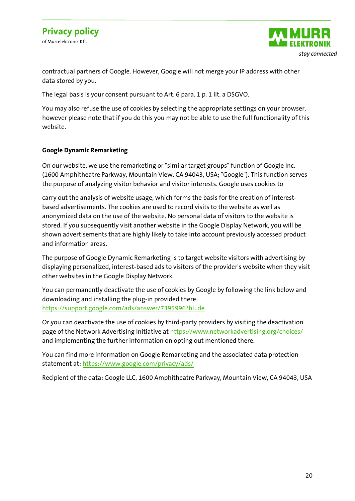of Murrelektronik Kft.



contractual partners of Google. However, Google will not merge your IP address with other data stored by you.

The legal basis is your consent pursuant to Art. 6 para. 1 p. 1 lit. a DSGVO.

You may also refuse the use of cookies by selecting the appropriate settings on your browser, however please note that if you do this you may not be able to use the full functionality of this website.

#### **Google Dynamic Remarketing**

On our website, we use the remarketing or "similar target groups" function of Google Inc. (1600 Amphitheatre Parkway, Mountain View, CA 94043, USA; "Google"). This function serves the purpose of analyzing visitor behavior and visitor interests. Google uses cookies to

carry out the analysis of website usage, which forms the basis for the creation of interestbased advertisements. The cookies are used to record visits to the website as well as anonymized data on the use of the website. No personal data of visitors to the website is stored. If you subsequently visit another website in the Google Display Network, you will be shown advertisements that are highly likely to take into account previously accessed product and information areas.

The purpose of Google Dynamic Remarketing is to target website visitors with advertising by displaying personalized, interest-based ads to visitors of the provider's website when they visit other websites in the Google Display Network.

You can permanently deactivate the use of cookies by Google by following the link below and downloading and installing the plug-in provided there: <https://support.google.com/ads/answer/7395996?hl=de>

Or you can deactivate the use of cookies by third-party providers by visiting the deactivation page of the Network Advertising Initiative a[t https://www.networkadvertising.org/choices/](https://www.networkadvertising.org/choices/) and implementing the further information on opting out mentioned there.

You can find more information on Google Remarketing and the associated data protection statement at[: https://www.google.com/privacy/ads/](https://www.google.com/privacy/ads/)

Recipient of the data: Google LLC, 1600 Amphitheatre Parkway, Mountain View, CA 94043, USA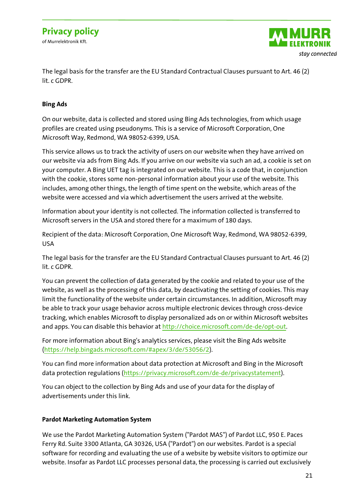of Murrelektronik Kft.



The legal basis for the transfer are the EU Standard Contractual Clauses pursuant to Art. 46 (2) lit. c GDPR.

#### **Bing Ads**

On our website, data is collected and stored using Bing Ads technologies, from which usage profiles are created using pseudonyms. This is a service of Microsoft Corporation, One Microsoft Way, Redmond, WA 98052-6399, USA.

This service allows us to track the activity of users on our website when they have arrived on our website via ads from Bing Ads. If you arrive on our website via such an ad, a cookie is set on your computer. A Bing UET tag is integrated on our website. This is a code that, in conjunction with the cookie, stores some non-personal information about your use of the website. This includes, among other things, the length of time spent on the website, which areas of the website were accessed and via which advertisement the users arrived at the website.

Information about your identity is not collected. The information collected is transferred to Microsoft servers in the USA and stored there for a maximum of 180 days.

Recipient of the data: Microsoft Corporation, One Microsoft Way, Redmond, WA 98052-6399, USA

The legal basis for the transfer are the EU Standard Contractual Clauses pursuant to Art. 46 (2) lit. c GDPR.

You can prevent the collection of data generated by the cookie and related to your use of the website, as well as the processing of this data, by deactivating the setting of cookies. This may limit the functionality of the website under certain circumstances. In addition, Microsoft may be able to track your usage behavior across multiple electronic devices through cross-device tracking, which enables Microsoft to display personalized ads on or within Microsoft websites and apps. You can disable this behavior at [http://choice.microsoft.com/de-de/opt-out.](http://choice.microsoft.com/de-de/opt-out)

For more information about Bing's analytics services, please visit the Bing Ads website [\(https://help.bingads.microsoft.com/#apex/3/de/53056/2\)](https://help.bingads.microsoft.com/#apex/3/de/53056/2).

You can find more information about data protection at Microsoft and Bing in the Microsoft data protection regulations [\(https://privacy.microsoft.com/de-de/privacystatement\)](https://privacy.microsoft.com/de-de/privacystatement).

You can object to the collection by Bing Ads and use of your data for the display of advertisements under this link.

#### **Pardot Marketing Automation System**

We use the Pardot Marketing Automation System ("Pardot MAS") of Pardot LLC, 950 E. Paces Ferry Rd. Suite 3300 Atlanta, GA 30326, USA ("Pardot") on our websites. Pardot is a special software for recording and evaluating the use of a website by website visitors to optimize our website. Insofar as Pardot LLC processes personal data, the processing is carried out exclusively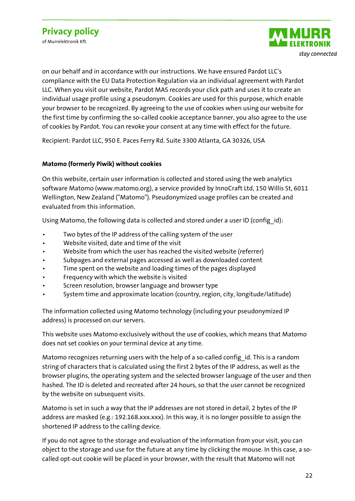of Murrelektronik Kft.



on our behalf and in accordance with our instructions. We have ensured Pardot LLC's compliance with the EU Data Protection Regulation via an individual agreement with Pardot LLC. When you visit our website, Pardot MAS records your click path and uses it to create an individual usage profile using a pseudonym. Cookies are used for this purpose, which enable your browser to be recognized. By agreeing to the use of cookies when using our website for the first time by confirming the so-called cookie acceptance banner, you also agree to the use of cookies by Pardot. You can revoke your consent at any time with effect for the future.

Recipient: Pardot LLC, 950 E. Paces Ferry Rd. Suite 3300 Atlanta, GA 30326, USA

#### **Matomo (formerly Piwik) without cookies**

On this website, certain user information is collected and stored using the web analytics software Matomo (www.matomo.org), a service provided by InnoCraft Ltd, 150 Willis St, 6011 Wellington, New Zealand ("Matomo"). Pseudonymized usage profiles can be created and evaluated from this information.

Using Matomo, the following data is collected and stored under a user ID (config  $id$ ):

- Two bytes of the IP address of the calling system of the user
- Website visited, date and time of the visit
- Website from which the user has reached the visited website (referrer)
- Subpages and external pages accessed as well as downloaded content
- Time spent on the website and loading times of the pages displayed
- Frequency with which the website is visited
- Screen resolution, browser language and browser type
- System time and approximate location (country, region, city, longitude/latitude)

The information collected using Matomo technology (including your pseudonymized IP address) is processed on our servers.

This website uses Matomo exclusively without the use of cookies, which means that Matomo does not set cookies on your terminal device at any time.

Matomo recognizes returning users with the help of a so-called configild. This is a random string of characters that is calculated using the first 2 bytes of the IP address, as well as the browser plugins, the operating system and the selected browser language of the user and then hashed. The ID is deleted and recreated after 24 hours, so that the user cannot be recognized by the website on subsequent visits.

Matomo is set in such a way that the IP addresses are not stored in detail, 2 bytes of the IP address are masked (e.g.: 192.168.xxx.xxx). In this way, it is no longer possible to assign the shortened IP address to the calling device.

If you do not agree to the storage and evaluation of the information from your visit, you can object to the storage and use for the future at any time by clicking the mouse. In this case, a socalled opt-out cookie will be placed in your browser, with the result that Matomo will not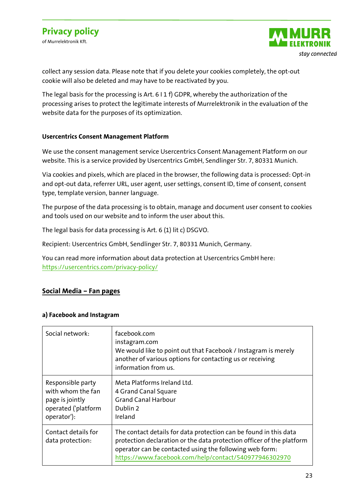

collect any session data. Please note that if you delete your cookies completely, the opt-out cookie will also be deleted and may have to be reactivated by you.

The legal basis for the processing is Art. 6 I 1 f) GDPR, whereby the authorization of the processing arises to protect the legitimate interests of Murrelektronik in the evaluation of the website data for the purposes of its optimization.

#### **Usercentrics Consent Management Platform**

We use the consent management service Usercentrics Consent Management Platform on our website. This is a service provided by Usercentrics GmbH, Sendlinger Str. 7, 80331 Munich.

Via cookies and pixels, which are placed in the browser, the following data is processed: Opt-in and opt-out data, referrer URL, user agent, user settings, consent ID, time of consent, consent type, template version, banner language.

The purpose of the data processing is to obtain, manage and document user consent to cookies and tools used on our website and to inform the user about this.

The legal basis for data processing is Art. 6 (1) lit c) DSGVO.

Recipient: Usercentrics GmbH, Sendlinger Str. 7, 80331 Munich, Germany.

You can read more information about data protection at Usercentrics GmbH here: <https://usercentrics.com/privacy-policy/>

#### **Social Media – Fan pages**

#### **a) Facebook and Instagram**

| Social network:                                                                                 | facebook.com<br>instagram.com<br>We would like to point out that Facebook / Instagram is merely<br>another of various options for contacting us or receiving<br>information from us.                                                                           |
|-------------------------------------------------------------------------------------------------|----------------------------------------------------------------------------------------------------------------------------------------------------------------------------------------------------------------------------------------------------------------|
| Responsible party<br>with whom the fan<br>page is jointly<br>operated ('platform<br>operator'): | Meta Platforms Ireland Ltd.<br>4 Grand Canal Square<br><b>Grand Canal Harbour</b><br>Dublin 2<br>Ireland                                                                                                                                                       |
| Contact details for<br>data protection:                                                         | The contact details for data protection can be found in this data<br>protection declaration or the data protection officer of the platform<br>operator can be contacted using the following web form:<br>https://www.facebook.com/help/contact/540977946302970 |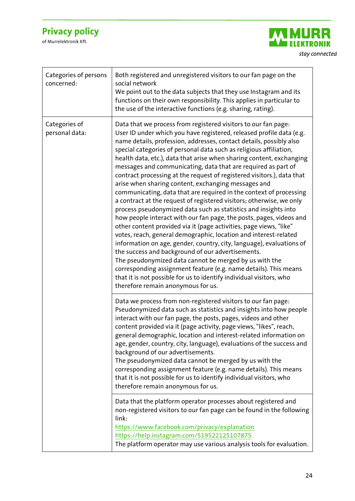

| Categories of persons<br>concerned: | Both registered and unregistered visitors to our fan page on the<br>social network<br>We point out to the data subjects that they use Instagram and its<br>functions on their own responsibility. This applies in particular to<br>the use of the interactive functions (e.g. sharing, rating).                                                                                                                                                                                                                                                                                                                                                                                                                                                                                                                                                                                                                                                                                                                                                                                                                                                                                                                                                                                                                                                                         |
|-------------------------------------|-------------------------------------------------------------------------------------------------------------------------------------------------------------------------------------------------------------------------------------------------------------------------------------------------------------------------------------------------------------------------------------------------------------------------------------------------------------------------------------------------------------------------------------------------------------------------------------------------------------------------------------------------------------------------------------------------------------------------------------------------------------------------------------------------------------------------------------------------------------------------------------------------------------------------------------------------------------------------------------------------------------------------------------------------------------------------------------------------------------------------------------------------------------------------------------------------------------------------------------------------------------------------------------------------------------------------------------------------------------------------|
| Categories of<br>personal data:     | Data that we process from registered visitors to our fan page:<br>User ID under which you have registered, released profile data (e.g.<br>name details, profession, addresses, contact details, possibly also<br>special categories of personal data such as religious affiliation,<br>health data, etc.), data that arise when sharing content, exchanging<br>messages and communicating, data that are required as part of<br>contract processing at the request of registered visitors.), data that<br>arise when sharing content, exchanging messages and<br>communicating, data that are required in the context of processing<br>a contract at the request of registered visitors; otherwise, we only<br>process pseudonymized data such as statistics and insights into<br>how people interact with our fan page, the posts, pages, videos and<br>other content provided via it (page activities, page views, "like"<br>votes, reach, general demographic, location and interest-related<br>information on age, gender, country, city, language), evaluations of<br>the success and background of our advertisements.<br>The pseudonymized data cannot be merged by us with the<br>corresponding assignment feature (e.g. name details). This means<br>that it is not possible for us to identify individual visitors, who<br>therefore remain anonymous for us. |
|                                     | Data we process from non-registered visitors to our fan page:<br>Pseudonymized data such as statistics and insights into how people<br>interact with our fan page, the posts, pages, videos and other<br>content provided via it (page activity, page views, "likes", reach,<br>general demographic, location and interest-related information on<br>age, gender, country, city, language), evaluations of the success and<br>background of our advertisements.<br>The pseudonymized data cannot be merged by us with the<br>corresponding assignment feature (e.g. name details). This means<br>that it is not possible for us to identify individual visitors, who<br>therefore remain anonymous for us.<br>Data that the platform operator processes about registered and<br>non-registered visitors to our fan page can be found in the following<br>link:<br>https://www.facebook.com/privacy/explanation<br>https://help.instagram.com/519522125107875<br>The platform operator may use various analysis tools for evaluation.                                                                                                                                                                                                                                                                                                                                    |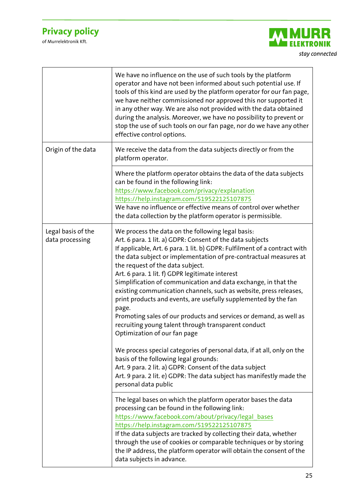

|                                       | We have no influence on the use of such tools by the platform<br>operator and have not been informed about such potential use. If<br>tools of this kind are used by the platform operator for our fan page,<br>we have neither commissioned nor approved this nor supported it<br>in any other way. We are also not provided with the data obtained<br>during the analysis. Moreover, we have no possibility to prevent or<br>stop the use of such tools on our fan page, nor do we have any other<br>effective control options.                                                                                                                                                                                                                                                                                                                                                                                       |
|---------------------------------------|------------------------------------------------------------------------------------------------------------------------------------------------------------------------------------------------------------------------------------------------------------------------------------------------------------------------------------------------------------------------------------------------------------------------------------------------------------------------------------------------------------------------------------------------------------------------------------------------------------------------------------------------------------------------------------------------------------------------------------------------------------------------------------------------------------------------------------------------------------------------------------------------------------------------|
| Origin of the data                    | We receive the data from the data subjects directly or from the<br>platform operator.                                                                                                                                                                                                                                                                                                                                                                                                                                                                                                                                                                                                                                                                                                                                                                                                                                  |
|                                       | Where the platform operator obtains the data of the data subjects<br>can be found in the following link:<br>https://www.facebook.com/privacy/explanation<br>https://help.instagram.com/519522125107875<br>We have no influence or effective means of control over whether<br>the data collection by the platform operator is permissible.                                                                                                                                                                                                                                                                                                                                                                                                                                                                                                                                                                              |
| Legal basis of the<br>data processing | We process the data on the following legal basis:<br>Art. 6 para. 1 lit. a) GDPR: Consent of the data subjects<br>If applicable, Art. 6 para. 1 lit. b) GDPR: Fulfilment of a contract with<br>the data subject or implementation of pre-contractual measures at<br>the request of the data subject.<br>Art. 6 para. 1 lit. f) GDPR legitimate interest<br>Simplification of communication and data exchange, in that the<br>existing communication channels, such as website, press releases,<br>print products and events, are usefully supplemented by the fan<br>page.<br>Promoting sales of our products and services or demand, as well as<br>recruiting young talent through transparent conduct<br>Optimization of our fan page<br>We process special categories of personal data, if at all, only on the<br>basis of the following legal grounds:<br>Art. 9 para. 2 lit. a) GDPR: Consent of the data subject |
|                                       | Art. 9 para. 2 lit. e) GDPR: The data subject has manifestly made the<br>personal data public                                                                                                                                                                                                                                                                                                                                                                                                                                                                                                                                                                                                                                                                                                                                                                                                                          |
|                                       | The legal bases on which the platform operator bases the data<br>processing can be found in the following link:<br>https://www.facebook.com/about/privacy/legal bases<br>https://help.instagram.com/519522125107875<br>If the data subjects are tracked by collecting their data, whether<br>through the use of cookies or comparable techniques or by storing<br>the IP address, the platform operator will obtain the consent of the<br>data subjects in advance.                                                                                                                                                                                                                                                                                                                                                                                                                                                    |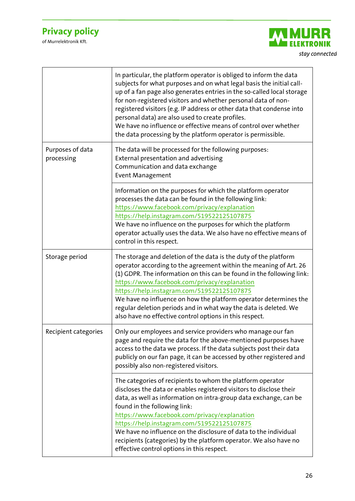

|                                | In particular, the platform operator is obliged to inform the data<br>subjects for what purposes and on what legal basis the initial call-<br>up of a fan page also generates entries in the so-called local storage<br>for non-registered visitors and whether personal data of non-<br>registered visitors (e.g. IP address or other data that condense into<br>personal data) are also used to create profiles.<br>We have no influence or effective means of control over whether<br>the data processing by the platform operator is permissible. |
|--------------------------------|-------------------------------------------------------------------------------------------------------------------------------------------------------------------------------------------------------------------------------------------------------------------------------------------------------------------------------------------------------------------------------------------------------------------------------------------------------------------------------------------------------------------------------------------------------|
| Purposes of data<br>processing | The data will be processed for the following purposes:<br>External presentation and advertising<br>Communication and data exchange<br><b>Event Management</b>                                                                                                                                                                                                                                                                                                                                                                                         |
|                                | Information on the purposes for which the platform operator<br>processes the data can be found in the following link:<br>https://www.facebook.com/privacy/explanation<br>https://help.instagram.com/519522125107875<br>We have no influence on the purposes for which the platform<br>operator actually uses the data. We also have no effective means of<br>control in this respect.                                                                                                                                                                 |
| Storage period                 | The storage and deletion of the data is the duty of the platform<br>operator according to the agreement within the meaning of Art. 26<br>(1) GDPR. The information on this can be found in the following link:<br>https://www.facebook.com/privacy/explanation<br>https://help.instagram.com/519522125107875<br>We have no influence on how the platform operator determines the<br>regular deletion periods and in what way the data is deleted. We<br>also have no effective control options in this respect.                                       |
| Recipient categories           | Only our employees and service providers who manage our fan<br>page and require the data for the above-mentioned purposes have<br>access to the data we process. If the data subjects post their data<br>publicly on our fan page, it can be accessed by other registered and<br>possibly also non-registered visitors.                                                                                                                                                                                                                               |
|                                | The categories of recipients to whom the platform operator<br>discloses the data or enables registered visitors to disclose their<br>data, as well as information on intra-group data exchange, can be<br>found in the following link:<br>https://www.facebook.com/privacy/explanation<br>https://help.instagram.com/519522125107875<br>We have no influence on the disclosure of data to the individual<br>recipients (categories) by the platform operator. We also have no<br>effective control options in this respect.                           |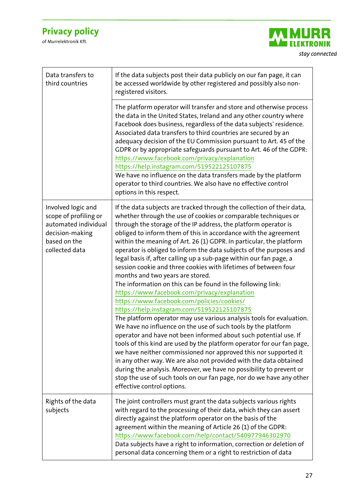

| Data transfers to<br>third countries                                                                                     | If the data subjects post their data publicly on our fan page, it can<br>be accessed worldwide by other registered and possibly also non-<br>registered visitors.                                                                                                                                                                                                                                                                                                                                                                                                                                                                                                                                                                                                                                                                                                                                                                                                                                                                                                                                                                                                                                                                                                                                                                                                                                                                |
|--------------------------------------------------------------------------------------------------------------------------|----------------------------------------------------------------------------------------------------------------------------------------------------------------------------------------------------------------------------------------------------------------------------------------------------------------------------------------------------------------------------------------------------------------------------------------------------------------------------------------------------------------------------------------------------------------------------------------------------------------------------------------------------------------------------------------------------------------------------------------------------------------------------------------------------------------------------------------------------------------------------------------------------------------------------------------------------------------------------------------------------------------------------------------------------------------------------------------------------------------------------------------------------------------------------------------------------------------------------------------------------------------------------------------------------------------------------------------------------------------------------------------------------------------------------------|
|                                                                                                                          | The platform operator will transfer and store and otherwise process<br>the data in the United States, Ireland and any other country where<br>Facebook does business, regardless of the data subjects' residence.<br>Associated data transfers to third countries are secured by an<br>adequacy decision of the EU Commission pursuant to Art. 45 of the<br>GDPR or by appropriate safeguards pursuant to Art. 46 of the GDPR:<br>https://www.facebook.com/privacy/explanation<br>https://help.instagram.com/519522125107875<br>We have no influence on the data transfers made by the platform<br>operator to third countries. We also have no effective control<br>options in this respect.                                                                                                                                                                                                                                                                                                                                                                                                                                                                                                                                                                                                                                                                                                                                     |
| Involved logic and<br>scope of profiling or<br>automated individual<br>decision-making<br>based on the<br>collected data | If the data subjects are tracked through the collection of their data,<br>whether through the use of cookies or comparable techniques or<br>through the storage of the IP address, the platform operator is<br>obliged to inform them of this in accordance with the agreement<br>within the meaning of Art. 26 (1) GDPR. In particular, the platform<br>operator is obliged to inform the data subjects of the purposes and<br>legal basis if, after calling up a sub-page within our fan page, a<br>session cookie and three cookies with lifetimes of between four<br>months and two years are stored.<br>The information on this can be found in the following link:<br>https://www.facebook.com/privacy/explanation<br>https://www.facebook.com/policies/cookies/<br>https://help.instagram.com/519522125107875<br>The platform operator may use various analysis tools for evaluation.<br>We have no influence on the use of such tools by the platform<br>operator and have not been informed about such potential use. If<br>tools of this kind are used by the platform operator for our fan page,<br>we have neither commissioned nor approved this nor supported it<br>in any other way. We are also not provided with the data obtained<br>during the analysis. Moreover, we have no possibility to prevent or<br>stop the use of such tools on our fan page, nor do we have any other<br>effective control options. |
| Rights of the data<br>subjects                                                                                           | The joint controllers must grant the data subjects various rights<br>with regard to the processing of their data, which they can assert<br>directly against the platform operator on the basis of the<br>agreement within the meaning of Article 26 (1) of the GDPR:<br>https://www.facebook.com/help/contact/540977946302970<br>Data subjects have a right to information, correction or deletion of<br>personal data concerning them or a right to restriction of data                                                                                                                                                                                                                                                                                                                                                                                                                                                                                                                                                                                                                                                                                                                                                                                                                                                                                                                                                         |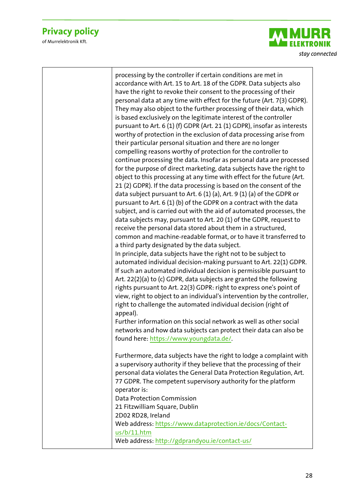of Murrelektronik Kft.



processing by the controller if certain conditions are met in accordance with Art. 15 to Art. 18 of the GDPR. Data subjects also have the right to revoke their consent to the processing of their personal data at any time with effect for the future (Art. 7(3) GDPR). They may also object to the further processing of their data, which is based exclusively on the legitimate interest of the controller pursuant to Art. 6 (1) (f) GDPR (Art. 21 (1) GDPR), insofar as interests worthy of protection in the exclusion of data processing arise from their particular personal situation and there are no longer compelling reasons worthy of protection for the controller to continue processing the data. Insofar as personal data are processed for the purpose of direct marketing, data subjects have the right to object to this processing at any time with effect for the future (Art. 21 (2) GDPR). If the data processing is based on the consent of the data subject pursuant to Art. 6 (1) (a), Art. 9 (1) (a) of the GDPR or pursuant to Art. 6 (1) (b) of the GDPR on a contract with the data subject, and is carried out with the aid of automated processes, the data subjects may, pursuant to Art. 20 (1) of the GDPR, request to receive the personal data stored about them in a structured, common and machine-readable format, or to have it transferred to a third party designated by the data subject. In principle, data subjects have the right not to be subject to automated individual decision-making pursuant to Art. 22(1) GDPR. If such an automated individual decision is permissible pursuant to Art. 22(2)(a) to (c) GDPR, data subjects are granted the following rights pursuant to Art. 22(3) GDPR: right to express one's point of view, right to object to an individual's intervention by the controller, right to challenge the automated individual decision (right of appeal). Further information on this social network as well as other social networks and how data subjects can protect their data can also be found here: [https://www.youngdata.de/.](https://www.youngdata.de/) Furthermore, data subjects have the right to lodge a complaint with a supervisory authority if they believe that the processing of their personal data violates the General Data Protection Regulation, Art. 77 GDPR. The competent supervisory authority for the platform operator is: Data Protection Commission 21 Fitzwilliam Square, Dublin 2D02 RD28, Ireland Web address[: https://www.dataprotection.ie/docs/Contact](https://www.dataprotection.ie/docs/Contact-us/b/11.htm)[us/b/11.htm](https://www.dataprotection.ie/docs/Contact-us/b/11.htm)  Web address[: http://gdprandyou.ie/contact-us/](http://gdprandyou.ie/contact-us/)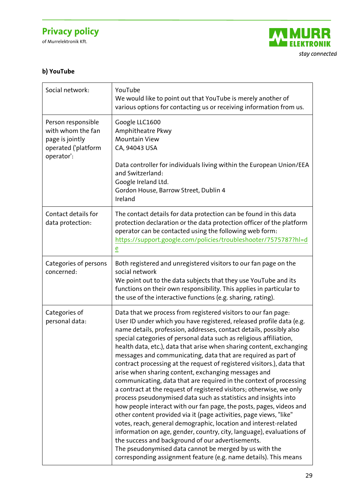of Murrelektronik Kft.



### **b) YouTube**

| Social network:                                                                                 | YouTube<br>We would like to point out that YouTube is merely another of<br>various options for contacting us or receiving information from us.                                                                                                                                                                                                                                                                                                                                                                                                                                                                                                                                                                                                                                                                                                                                                                                                                                                                                                                                                                                                                                                                                                             |
|-------------------------------------------------------------------------------------------------|------------------------------------------------------------------------------------------------------------------------------------------------------------------------------------------------------------------------------------------------------------------------------------------------------------------------------------------------------------------------------------------------------------------------------------------------------------------------------------------------------------------------------------------------------------------------------------------------------------------------------------------------------------------------------------------------------------------------------------------------------------------------------------------------------------------------------------------------------------------------------------------------------------------------------------------------------------------------------------------------------------------------------------------------------------------------------------------------------------------------------------------------------------------------------------------------------------------------------------------------------------|
| Person responsible<br>with whom the fan<br>page is jointly<br>operated ('platform<br>operator': | Google LLC1600<br>Amphitheatre Pkwy<br><b>Mountain View</b><br>CA, 94043 USA                                                                                                                                                                                                                                                                                                                                                                                                                                                                                                                                                                                                                                                                                                                                                                                                                                                                                                                                                                                                                                                                                                                                                                               |
|                                                                                                 | Data controller for individuals living within the European Union/EEA<br>and Switzerland:<br>Google Ireland Ltd.<br>Gordon House, Barrow Street, Dublin 4<br>Ireland                                                                                                                                                                                                                                                                                                                                                                                                                                                                                                                                                                                                                                                                                                                                                                                                                                                                                                                                                                                                                                                                                        |
| Contact details for<br>data protection:                                                         | The contact details for data protection can be found in this data<br>protection declaration or the data protection officer of the platform<br>operator can be contacted using the following web form:<br>https://support.google.com/policies/troubleshooter/7575787?hl=d<br>$\overline{e}$                                                                                                                                                                                                                                                                                                                                                                                                                                                                                                                                                                                                                                                                                                                                                                                                                                                                                                                                                                 |
| Categories of persons<br>concerned:                                                             | Both registered and unregistered visitors to our fan page on the<br>social network<br>We point out to the data subjects that they use YouTube and its<br>functions on their own responsibility. This applies in particular to<br>the use of the interactive functions (e.g. sharing, rating).                                                                                                                                                                                                                                                                                                                                                                                                                                                                                                                                                                                                                                                                                                                                                                                                                                                                                                                                                              |
| Categories of<br>personal data:                                                                 | Data that we process from registered visitors to our fan page:<br>User ID under which you have registered, released profile data (e.g.<br>name details, profession, addresses, contact details, possibly also<br>special categories of personal data such as religious affiliation,<br>health data, etc.), data that arise when sharing content, exchanging<br>messages and communicating, data that are required as part of<br>contract processing at the request of registered visitors.), data that<br>arise when sharing content, exchanging messages and<br>communicating, data that are required in the context of processing<br>a contract at the request of registered visitors; otherwise, we only<br>process pseudonymised data such as statistics and insights into<br>how people interact with our fan page, the posts, pages, videos and<br>other content provided via it (page activities, page views, "like"<br>votes, reach, general demographic, location and interest-related<br>information on age, gender, country, city, language), evaluations of<br>the success and background of our advertisements.<br>The pseudonymised data cannot be merged by us with the<br>corresponding assignment feature (e.g. name details). This means |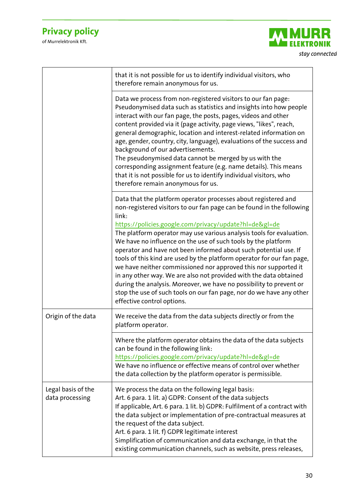

|                                       | that it is not possible for us to identify individual visitors, who<br>therefore remain anonymous for us.                                                                                                                                                                                                                                                                                                                                                                                                                                                                                                                                                                                                                                                                                                            |
|---------------------------------------|----------------------------------------------------------------------------------------------------------------------------------------------------------------------------------------------------------------------------------------------------------------------------------------------------------------------------------------------------------------------------------------------------------------------------------------------------------------------------------------------------------------------------------------------------------------------------------------------------------------------------------------------------------------------------------------------------------------------------------------------------------------------------------------------------------------------|
|                                       | Data we process from non-registered visitors to our fan page:<br>Pseudonymised data such as statistics and insights into how people<br>interact with our fan page, the posts, pages, videos and other<br>content provided via it (page activity, page views, "likes", reach,<br>general demographic, location and interest-related information on<br>age, gender, country, city, language), evaluations of the success and<br>background of our advertisements.<br>The pseudonymised data cannot be merged by us with the<br>corresponding assignment feature (e.g. name details). This means<br>that it is not possible for us to identify individual visitors, who<br>therefore remain anonymous for us.                                                                                                           |
|                                       | Data that the platform operator processes about registered and<br>non-registered visitors to our fan page can be found in the following<br>link:<br>https://policies.google.com/privacy/update?hl=de≷=de<br>The platform operator may use various analysis tools for evaluation.<br>We have no influence on the use of such tools by the platform<br>operator and have not been informed about such potential use. If<br>tools of this kind are used by the platform operator for our fan page,<br>we have neither commissioned nor approved this nor supported it<br>in any other way. We are also not provided with the data obtained<br>during the analysis. Moreover, we have no possibility to prevent or<br>stop the use of such tools on our fan page, nor do we have any other<br>effective control options. |
| Origin of the data                    | We receive the data from the data subjects directly or from the<br>platform operator.                                                                                                                                                                                                                                                                                                                                                                                                                                                                                                                                                                                                                                                                                                                                |
|                                       | Where the platform operator obtains the data of the data subjects<br>can be found in the following link:<br>https://policies.google.com/privacy/update?hl=de≷=de<br>We have no influence or effective means of control over whether<br>the data collection by the platform operator is permissible.                                                                                                                                                                                                                                                                                                                                                                                                                                                                                                                  |
| Legal basis of the<br>data processing | We process the data on the following legal basis:<br>Art. 6 para. 1 lit. a) GDPR: Consent of the data subjects<br>If applicable, Art. 6 para. 1 lit. b) GDPR: Fulfilment of a contract with<br>the data subject or implementation of pre-contractual measures at<br>the request of the data subject.<br>Art. 6 para. 1 lit. f) GDPR legitimate interest<br>Simplification of communication and data exchange, in that the<br>existing communication channels, such as website, press releases,                                                                                                                                                                                                                                                                                                                       |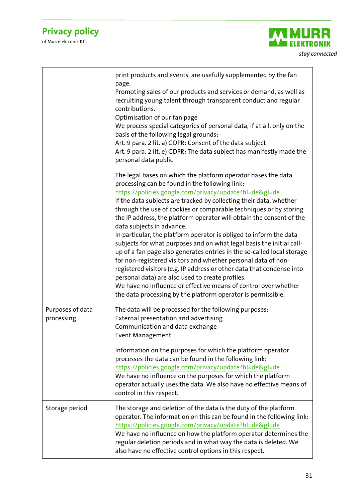

|                                | print products and events, are usefully supplemented by the fan<br>page.<br>Promoting sales of our products and services or demand, as well as<br>recruiting young talent through transparent conduct and regular<br>contributions.<br>Optimisation of our fan page<br>We process special categories of personal data, if at all, only on the<br>basis of the following legal grounds:<br>Art. 9 para. 2 lit. a) GDPR: Consent of the data subject<br>Art. 9 para. 2 lit. e) GDPR: The data subject has manifestly made the<br>personal data public                                                                                                                                                                                                                                                                                                                                                                                                                              |
|--------------------------------|----------------------------------------------------------------------------------------------------------------------------------------------------------------------------------------------------------------------------------------------------------------------------------------------------------------------------------------------------------------------------------------------------------------------------------------------------------------------------------------------------------------------------------------------------------------------------------------------------------------------------------------------------------------------------------------------------------------------------------------------------------------------------------------------------------------------------------------------------------------------------------------------------------------------------------------------------------------------------------|
|                                | The legal bases on which the platform operator bases the data<br>processing can be found in the following link:<br>https://policies.google.com/privacy/update?hl=de≷=de<br>If the data subjects are tracked by collecting their data, whether<br>through the use of cookies or comparable techniques or by storing<br>the IP address, the platform operator will obtain the consent of the<br>data subjects in advance.<br>In particular, the platform operator is obliged to inform the data<br>subjects for what purposes and on what legal basis the initial call-<br>up of a fan page also generates entries in the so-called local storage<br>for non-registered visitors and whether personal data of non-<br>registered visitors (e.g. IP address or other data that condense into<br>personal data) are also used to create profiles.<br>We have no influence or effective means of control over whether<br>the data processing by the platform operator is permissible. |
| Purposes of data<br>processing | The data will be processed for the following purposes:<br>External presentation and advertising<br>Communication and data exchange<br>Event Management                                                                                                                                                                                                                                                                                                                                                                                                                                                                                                                                                                                                                                                                                                                                                                                                                           |
|                                | Information on the purposes for which the platform operator<br>processes the data can be found in the following link:<br>https://policies.google.com/privacy/update?hl=de≷=de<br>We have no influence on the purposes for which the platform<br>operator actually uses the data. We also have no effective means of<br>control in this respect.                                                                                                                                                                                                                                                                                                                                                                                                                                                                                                                                                                                                                                  |
| Storage period                 | The storage and deletion of the data is the duty of the platform<br>operator. The information on this can be found in the following link:<br>https://policies.google.com/privacy/update?hl=de≷=de<br>We have no influence on how the platform operator determines the<br>regular deletion periods and in what way the data is deleted. We<br>also have no effective control options in this respect.                                                                                                                                                                                                                                                                                                                                                                                                                                                                                                                                                                             |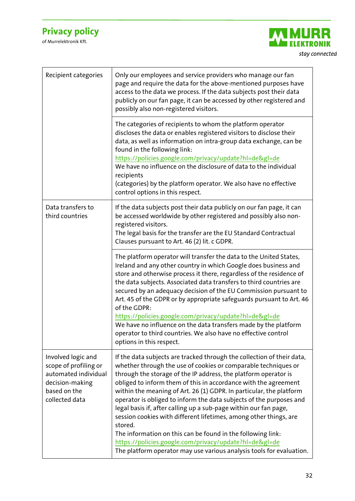

| Recipient categories                                                                               | Only our employees and service providers who manage our fan<br>page and require the data for the above-mentioned purposes have<br>access to the data we process. If the data subjects post their data<br>publicly on our fan page, it can be accessed by other registered and<br>possibly also non-registered visitors.                                                                                                                                                                                                                                                                                                                                                                               |
|----------------------------------------------------------------------------------------------------|-------------------------------------------------------------------------------------------------------------------------------------------------------------------------------------------------------------------------------------------------------------------------------------------------------------------------------------------------------------------------------------------------------------------------------------------------------------------------------------------------------------------------------------------------------------------------------------------------------------------------------------------------------------------------------------------------------|
|                                                                                                    | The categories of recipients to whom the platform operator<br>discloses the data or enables registered visitors to disclose their<br>data, as well as information on intra-group data exchange, can be<br>found in the following link:<br>https://policies.google.com/privacy/update?hl=de≷=de<br>We have no influence on the disclosure of data to the individual<br>recipients<br>(categories) by the platform operator. We also have no effective<br>control options in this respect.                                                                                                                                                                                                              |
| Data transfers to<br>third countries                                                               | If the data subjects post their data publicly on our fan page, it can<br>be accessed worldwide by other registered and possibly also non-<br>registered visitors.<br>The legal basis for the transfer are the EU Standard Contractual<br>Clauses pursuant to Art. 46 (2) lit. c GDPR.                                                                                                                                                                                                                                                                                                                                                                                                                 |
|                                                                                                    | The platform operator will transfer the data to the United States,<br>Ireland and any other country in which Google does business and<br>store and otherwise process it there, regardless of the residence of<br>the data subjects. Associated data transfers to third countries are<br>secured by an adequacy decision of the EU Commission pursuant to<br>Art. 45 of the GDPR or by appropriate safeguards pursuant to Art. 46<br>of the GDPR:<br>https://policies.google.com/privacy/update?hl=de≷=de<br>We have no influence on the data transfers made by the platform<br>operator to third countries. We also have no effective control                                                         |
| Involved logic and                                                                                 | options in this respect.<br>If the data subjects are tracked through the collection of their data,                                                                                                                                                                                                                                                                                                                                                                                                                                                                                                                                                                                                    |
| scope of profiling or<br>automated individual<br>decision-making<br>based on the<br>collected data | whether through the use of cookies or comparable techniques or<br>through the storage of the IP address, the platform operator is<br>obliged to inform them of this in accordance with the agreement<br>within the meaning of Art. 26 (1) GDPR. In particular, the platform<br>operator is obliged to inform the data subjects of the purposes and<br>legal basis if, after calling up a sub-page within our fan page,<br>session cookies with different lifetimes, among other things, are<br>stored.<br>The information on this can be found in the following link:<br>https://policies.google.com/privacy/update?hl=de≷=de<br>The platform operator may use various analysis tools for evaluation. |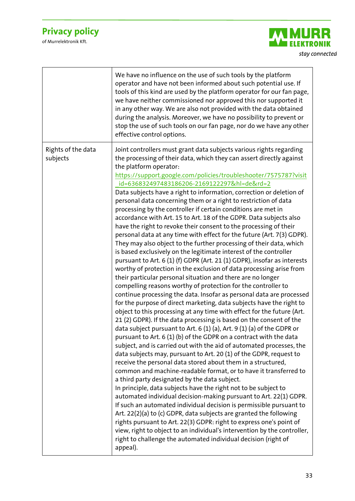

|                                | We have no influence on the use of such tools by the platform<br>operator and have not been informed about such potential use. If<br>tools of this kind are used by the platform operator for our fan page,<br>we have neither commissioned nor approved this nor supported it<br>in any other way. We are also not provided with the data obtained<br>during the analysis. Moreover, we have no possibility to prevent or<br>stop the use of such tools on our fan page, nor do we have any other<br>effective control options.                                                                                                                                                                                                                                                                                                                                                                                                                                                                                                                                                                                                                                                                                                                                                                                                                                                                                                                                                                                                                                                                                                                                                                                                                                                                                                                                                                                                                                                                                                                                                                                                                                                                                                                                                                                                                                                                                                                                   |
|--------------------------------|--------------------------------------------------------------------------------------------------------------------------------------------------------------------------------------------------------------------------------------------------------------------------------------------------------------------------------------------------------------------------------------------------------------------------------------------------------------------------------------------------------------------------------------------------------------------------------------------------------------------------------------------------------------------------------------------------------------------------------------------------------------------------------------------------------------------------------------------------------------------------------------------------------------------------------------------------------------------------------------------------------------------------------------------------------------------------------------------------------------------------------------------------------------------------------------------------------------------------------------------------------------------------------------------------------------------------------------------------------------------------------------------------------------------------------------------------------------------------------------------------------------------------------------------------------------------------------------------------------------------------------------------------------------------------------------------------------------------------------------------------------------------------------------------------------------------------------------------------------------------------------------------------------------------------------------------------------------------------------------------------------------------------------------------------------------------------------------------------------------------------------------------------------------------------------------------------------------------------------------------------------------------------------------------------------------------------------------------------------------------------------------------------------------------------------------------------------------------|
| Rights of the data<br>subjects | Joint controllers must grant data subjects various rights regarding<br>the processing of their data, which they can assert directly against<br>the platform operator:<br>https://support.google.com/policies/troubleshooter/7575787?visit<br>id=636832497483186206-2169122297&hl=de&rd=2<br>Data subjects have a right to information, correction or deletion of<br>personal data concerning them or a right to restriction of data<br>processing by the controller if certain conditions are met in<br>accordance with Art. 15 to Art. 18 of the GDPR. Data subjects also<br>have the right to revoke their consent to the processing of their<br>personal data at any time with effect for the future (Art. 7(3) GDPR).<br>They may also object to the further processing of their data, which<br>is based exclusively on the legitimate interest of the controller<br>pursuant to Art. 6 (1) (f) GDPR (Art. 21 (1) GDPR), insofar as interests<br>worthy of protection in the exclusion of data processing arise from<br>their particular personal situation and there are no longer<br>compelling reasons worthy of protection for the controller to<br>continue processing the data. Insofar as personal data are processed<br>for the purpose of direct marketing, data subjects have the right to<br>object to this processing at any time with effect for the future (Art.<br>21 (2) GDPR). If the data processing is based on the consent of the<br>data subject pursuant to Art. 6 (1) (a), Art. 9 (1) (a) of the GDPR or<br>pursuant to Art. 6 (1) (b) of the GDPR on a contract with the data<br>subject, and is carried out with the aid of automated processes, the<br>data subjects may, pursuant to Art. 20 (1) of the GDPR, request to<br>receive the personal data stored about them in a structured,<br>common and machine-readable format, or to have it transferred to<br>a third party designated by the data subject.<br>In principle, data subjects have the right not to be subject to<br>automated individual decision-making pursuant to Art. 22(1) GDPR.<br>If such an automated individual decision is permissible pursuant to<br>Art. 22(2)(a) to (c) GDPR, data subjects are granted the following<br>rights pursuant to Art. 22(3) GDPR: right to express one's point of<br>view, right to object to an individual's intervention by the controller,<br>right to challenge the automated individual decision (right of<br>appeal). |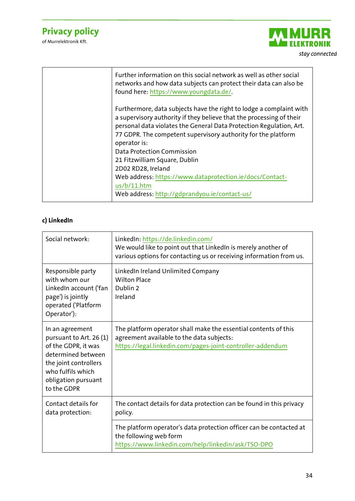of Murrelektronik Kft.



| Further information on this social network as well as other social<br>networks and how data subjects can protect their data can also be<br>found here: https://www.youngdata.de/.                                                                                                                   |
|-----------------------------------------------------------------------------------------------------------------------------------------------------------------------------------------------------------------------------------------------------------------------------------------------------|
| Furthermore, data subjects have the right to lodge a complaint with<br>a supervisory authority if they believe that the processing of their<br>personal data violates the General Data Protection Regulation, Art.<br>77 GDPR. The competent supervisory authority for the platform<br>operator is: |
| Data Protection Commission                                                                                                                                                                                                                                                                          |
| 21 Fitzwilliam Square, Dublin                                                                                                                                                                                                                                                                       |
| 2D02 RD28, Ireland                                                                                                                                                                                                                                                                                  |
| Web address: https://www.dataprotection.ie/docs/Contact-                                                                                                                                                                                                                                            |
| us/b/11.html                                                                                                                                                                                                                                                                                        |
| Web address: http://gdprandyou.ie/contact-us/                                                                                                                                                                                                                                                       |
|                                                                                                                                                                                                                                                                                                     |

#### **c) LinkedIn**

| Social network:                                                                                                                                                             | LinkedIn: https://de.linkedin.com/<br>We would like to point out that LinkedIn is merely another of<br>various options for contacting us or receiving information from us. |
|-----------------------------------------------------------------------------------------------------------------------------------------------------------------------------|----------------------------------------------------------------------------------------------------------------------------------------------------------------------------|
| Responsible party<br>with whom our<br>LinkedIn account ('fan<br>page') is jointly<br>operated ('Platform<br>Operator'):                                                     | LinkedIn Ireland Unlimited Company<br><b>Wilton Place</b><br>Dublin 2<br>Ireland                                                                                           |
| In an agreement<br>pursuant to Art. 26 (1)<br>of the GDPR, it was<br>determined between<br>the joint controllers<br>who fulfils which<br>obligation pursuant<br>to the GDPR | The platform operator shall make the essential contents of this<br>agreement available to the data subjects:<br>https://legal.linkedin.com/pages-joint-controller-addendum |
| Contact details for<br>data protection:                                                                                                                                     | The contact details for data protection can be found in this privacy<br>policy.                                                                                            |
|                                                                                                                                                                             | The platform operator's data protection officer can be contacted at<br>the following web form<br>https://www.linkedin.com/help/linkedin/ask/TSO-DPO                        |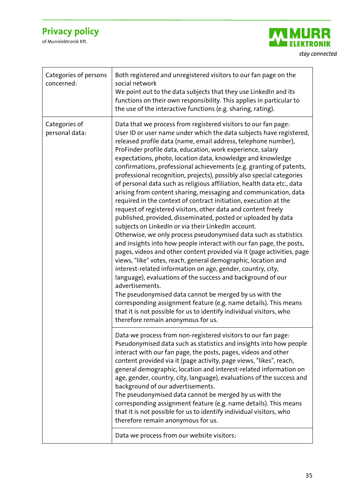

| Categories of persons<br>concerned: | Both registered and unregistered visitors to our fan page on the<br>social network<br>We point out to the data subjects that they use LinkedIn and its<br>functions on their own responsibility. This applies in particular to<br>the use of the interactive functions (e.g. sharing, rating).                                                                                                                                                                                                                                                                                                                                                                                                                                                                                                                                                                                                                                                                                                                                                                                                                                                                                                                                                                                                                                                                                                                                                                                                                                                                                   |
|-------------------------------------|----------------------------------------------------------------------------------------------------------------------------------------------------------------------------------------------------------------------------------------------------------------------------------------------------------------------------------------------------------------------------------------------------------------------------------------------------------------------------------------------------------------------------------------------------------------------------------------------------------------------------------------------------------------------------------------------------------------------------------------------------------------------------------------------------------------------------------------------------------------------------------------------------------------------------------------------------------------------------------------------------------------------------------------------------------------------------------------------------------------------------------------------------------------------------------------------------------------------------------------------------------------------------------------------------------------------------------------------------------------------------------------------------------------------------------------------------------------------------------------------------------------------------------------------------------------------------------|
| Categories of<br>personal data:     | Data that we process from registered visitors to our fan page:<br>User ID or user name under which the data subjects have registered,<br>released profile data (name, email address, telephone number),<br>ProFinder profile data, education, work experience, salary<br>expectations, photo, location data, knowledge and knowledge<br>confirmations, professional achievements (e.g. granting of patents,<br>professional recognition, projects), possibly also special categories<br>of personal data such as religious affiliation, health data etc., data<br>arising from content sharing, messaging and communication, data<br>required in the context of contract initiation, execution at the<br>request of registered visitors, other data and content freely<br>published, provided, disseminated, posted or uploaded by data<br>subjects on LinkedIn or via their LinkedIn account.<br>Otherwise, we only process pseudonymised data such as statistics<br>and insights into how people interact with our fan page, the posts,<br>pages, videos and other content provided via it (page activities, page<br>views, "like" votes, reach, general demographic, location and<br>interest-related information on age, gender, country, city,<br>language), evaluations of the success and background of our<br>advertisements.<br>The pseudonymised data cannot be merged by us with the<br>corresponding assignment feature (e.g. name details). This means<br>that it is not possible for us to identify individual visitors, who<br>therefore remain anonymous for us. |
|                                     | Data we process from non-registered visitors to our fan page:<br>Pseudonymised data such as statistics and insights into how people<br>interact with our fan page, the posts, pages, videos and other<br>content provided via it (page activity, page views, "likes", reach,<br>general demographic, location and interest-related information on<br>age, gender, country, city, language), evaluations of the success and<br>background of our advertisements.<br>The pseudonymised data cannot be merged by us with the<br>corresponding assignment feature (e.g. name details). This means<br>that it is not possible for us to identify individual visitors, who<br>therefore remain anonymous for us.<br>Data we process from our website visitors:                                                                                                                                                                                                                                                                                                                                                                                                                                                                                                                                                                                                                                                                                                                                                                                                                         |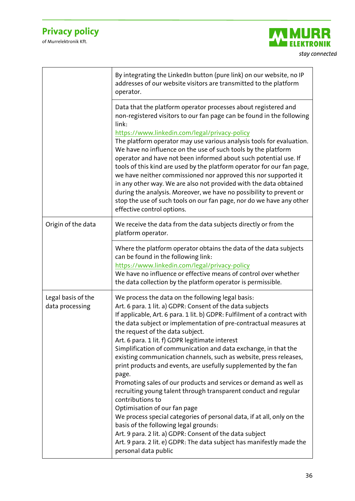

|                                       | By integrating the LinkedIn button (pure link) on our website, no IP<br>addresses of our website visitors are transmitted to the platform<br>operator.                                                                                                                                                                                                                                                                                                                                                                                                                                                                                                                                                                                                                                                                                                                                                                                                                                                                                                 |
|---------------------------------------|--------------------------------------------------------------------------------------------------------------------------------------------------------------------------------------------------------------------------------------------------------------------------------------------------------------------------------------------------------------------------------------------------------------------------------------------------------------------------------------------------------------------------------------------------------------------------------------------------------------------------------------------------------------------------------------------------------------------------------------------------------------------------------------------------------------------------------------------------------------------------------------------------------------------------------------------------------------------------------------------------------------------------------------------------------|
|                                       | Data that the platform operator processes about registered and<br>non-registered visitors to our fan page can be found in the following<br>link:<br>https://www.linkedin.com/legal/privacy-policy<br>The platform operator may use various analysis tools for evaluation.<br>We have no influence on the use of such tools by the platform<br>operator and have not been informed about such potential use. If<br>tools of this kind are used by the platform operator for our fan page,<br>we have neither commissioned nor approved this nor supported it<br>in any other way. We are also not provided with the data obtained<br>during the analysis. Moreover, we have no possibility to prevent or<br>stop the use of such tools on our fan page, nor do we have any other<br>effective control options.                                                                                                                                                                                                                                          |
| Origin of the data                    | We receive the data from the data subjects directly or from the<br>platform operator.                                                                                                                                                                                                                                                                                                                                                                                                                                                                                                                                                                                                                                                                                                                                                                                                                                                                                                                                                                  |
|                                       | Where the platform operator obtains the data of the data subjects<br>can be found in the following link:<br>https://www.linkedin.com/legal/privacy-policy<br>We have no influence or effective means of control over whether<br>the data collection by the platform operator is permissible.                                                                                                                                                                                                                                                                                                                                                                                                                                                                                                                                                                                                                                                                                                                                                           |
| Legal basis of the<br>data processing | We process the data on the following legal basis:<br>Art. 6 para. 1 lit. a) GDPR: Consent of the data subjects<br>If applicable, Art. 6 para. 1 lit. b) GDPR: Fulfilment of a contract with<br>the data subject or implementation of pre-contractual measures at<br>the request of the data subject.<br>Art. 6 para. 1 lit. f) GDPR legitimate interest<br>Simplification of communication and data exchange, in that the<br>existing communication channels, such as website, press releases,<br>print products and events, are usefully supplemented by the fan<br>page.<br>Promoting sales of our products and services or demand as well as<br>recruiting young talent through transparent conduct and regular<br>contributions to<br>Optimisation of our fan page<br>We process special categories of personal data, if at all, only on the<br>basis of the following legal grounds:<br>Art. 9 para. 2 lit. a) GDPR: Consent of the data subject<br>Art. 9 para. 2 lit. e) GDPR: The data subject has manifestly made the<br>personal data public |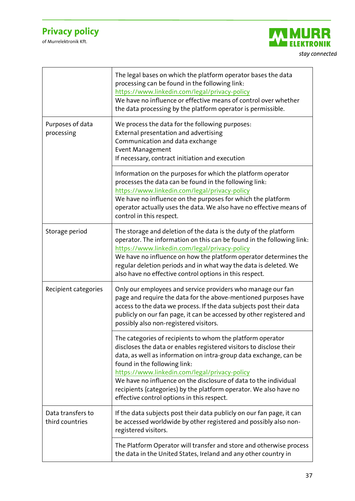

|                                      | The legal bases on which the platform operator bases the data<br>processing can be found in the following link:<br>https://www.linkedin.com/legal/privacy-policy<br>We have no influence or effective means of control over whether<br>the data processing by the platform operator is permissible.                                                                                                                                                                            |
|--------------------------------------|--------------------------------------------------------------------------------------------------------------------------------------------------------------------------------------------------------------------------------------------------------------------------------------------------------------------------------------------------------------------------------------------------------------------------------------------------------------------------------|
| Purposes of data<br>processing       | We process the data for the following purposes:<br>External presentation and advertising<br>Communication and data exchange<br><b>Event Management</b><br>If necessary, contract initiation and execution                                                                                                                                                                                                                                                                      |
|                                      | Information on the purposes for which the platform operator<br>processes the data can be found in the following link:<br>https://www.linkedin.com/legal/privacy-policy<br>We have no influence on the purposes for which the platform<br>operator actually uses the data. We also have no effective means of<br>control in this respect.                                                                                                                                       |
| Storage period                       | The storage and deletion of the data is the duty of the platform<br>operator. The information on this can be found in the following link:<br>https://www.linkedin.com/legal/privacy-policy<br>We have no influence on how the platform operator determines the<br>regular deletion periods and in what way the data is deleted. We<br>also have no effective control options in this respect.                                                                                  |
| Recipient categories                 | Only our employees and service providers who manage our fan<br>page and require the data for the above-mentioned purposes have<br>access to the data we process. If the data subjects post their data<br>publicly on our fan page, it can be accessed by other registered and<br>possibly also non-registered visitors.                                                                                                                                                        |
|                                      | The categories of recipients to whom the platform operator<br>discloses the data or enables registered visitors to disclose their<br>data, as well as information on intra-group data exchange, can be<br>found in the following link:<br>https://www.linkedin.com/legal/privacy-policy<br>We have no influence on the disclosure of data to the individual<br>recipients (categories) by the platform operator. We also have no<br>effective control options in this respect. |
| Data transfers to<br>third countries | If the data subjects post their data publicly on our fan page, it can<br>be accessed worldwide by other registered and possibly also non-<br>registered visitors.                                                                                                                                                                                                                                                                                                              |
|                                      | The Platform Operator will transfer and store and otherwise process<br>the data in the United States, Ireland and any other country in                                                                                                                                                                                                                                                                                                                                         |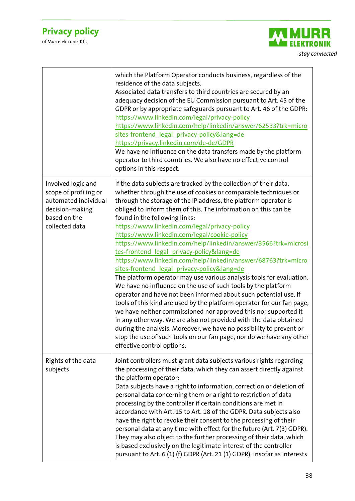

|                                                                                                                          | which the Platform Operator conducts business, regardless of the<br>residence of the data subjects.<br>Associated data transfers to third countries are secured by an<br>adequacy decision of the EU Commission pursuant to Art. 45 of the<br>GDPR or by appropriate safeguards pursuant to Art. 46 of the GDPR:<br>https://www.linkedin.com/legal/privacy-policy<br>https://www.linkedin.com/help/linkedin/answer/62533?trk=micro<br>sites-frontend legal privacy-policy⟨=de<br>https://privacy.linkedin.com/de-de/GDPR<br>We have no influence on the data transfers made by the platform<br>operator to third countries. We also have no effective control<br>options in this respect.                                                                                                                                                                                                                                                                                                                                                                                                                                                                                                                                                     |
|--------------------------------------------------------------------------------------------------------------------------|-----------------------------------------------------------------------------------------------------------------------------------------------------------------------------------------------------------------------------------------------------------------------------------------------------------------------------------------------------------------------------------------------------------------------------------------------------------------------------------------------------------------------------------------------------------------------------------------------------------------------------------------------------------------------------------------------------------------------------------------------------------------------------------------------------------------------------------------------------------------------------------------------------------------------------------------------------------------------------------------------------------------------------------------------------------------------------------------------------------------------------------------------------------------------------------------------------------------------------------------------|
| Involved logic and<br>scope of profiling or<br>automated individual<br>decision-making<br>based on the<br>collected data | If the data subjects are tracked by the collection of their data,<br>whether through the use of cookies or comparable techniques or<br>through the storage of the IP address, the platform operator is<br>obliged to inform them of this. The information on this can be<br>found in the following links:<br>https://www.linkedin.com/legal/privacy-policy<br>https://www.linkedin.com/legal/cookie-policy<br>https://www.linkedin.com/help/linkedin/answer/3566?trk=microsi<br>tes-frontend legal privacy-policy⟨=de<br>https://www.linkedin.com/help/linkedin/answer/68763?trk=micro<br>sites-frontend_legal_privacy-policy⟨=de<br>The platform operator may use various analysis tools for evaluation.<br>We have no influence on the use of such tools by the platform<br>operator and have not been informed about such potential use. If<br>tools of this kind are used by the platform operator for our fan page,<br>we have neither commissioned nor approved this nor supported it<br>in any other way. We are also not provided with the data obtained<br>during the analysis. Moreover, we have no possibility to prevent or<br>stop the use of such tools on our fan page, nor do we have any other<br>effective control options. |
| Rights of the data<br>subjects                                                                                           | Joint controllers must grant data subjects various rights regarding<br>the processing of their data, which they can assert directly against<br>the platform operator:<br>Data subjects have a right to information, correction or deletion of<br>personal data concerning them or a right to restriction of data<br>processing by the controller if certain conditions are met in<br>accordance with Art. 15 to Art. 18 of the GDPR. Data subjects also<br>have the right to revoke their consent to the processing of their<br>personal data at any time with effect for the future (Art. 7(3) GDPR).<br>They may also object to the further processing of their data, which<br>is based exclusively on the legitimate interest of the controller<br>pursuant to Art. 6 (1) (f) GDPR (Art. 21 (1) GDPR), insofar as interests                                                                                                                                                                                                                                                                                                                                                                                                                |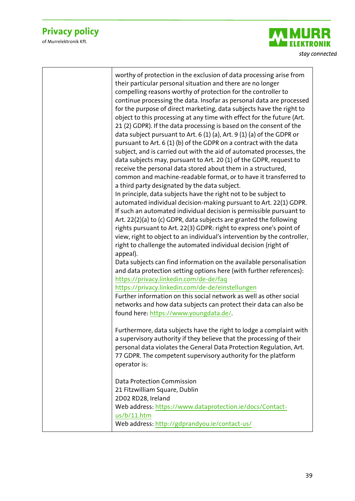

| worthy of protection in the exclusion of data processing arise from<br>their particular personal situation and there are no longer<br>compelling reasons worthy of protection for the controller to<br>continue processing the data. Insofar as personal data are processed<br>for the purpose of direct marketing, data subjects have the right to<br>object to this processing at any time with effect for the future (Art.<br>21 (2) GDPR). If the data processing is based on the consent of the<br>data subject pursuant to Art. 6 (1) (a), Art. 9 (1) (a) of the GDPR or<br>pursuant to Art. 6 (1) (b) of the GDPR on a contract with the data<br>subject, and is carried out with the aid of automated processes, the<br>data subjects may, pursuant to Art. 20 (1) of the GDPR, request to<br>receive the personal data stored about them in a structured,<br>common and machine-readable format, or to have it transferred to<br>a third party designated by the data subject.<br>In principle, data subjects have the right not to be subject to<br>automated individual decision-making pursuant to Art. 22(1) GDPR.<br>If such an automated individual decision is permissible pursuant to<br>Art. 22(2)(a) to (c) GDPR, data subjects are granted the following<br>rights pursuant to Art. 22(3) GDPR: right to express one's point of<br>view, right to object to an individual's intervention by the controller,<br>right to challenge the automated individual decision (right of<br>appeal). |
|---------------------------------------------------------------------------------------------------------------------------------------------------------------------------------------------------------------------------------------------------------------------------------------------------------------------------------------------------------------------------------------------------------------------------------------------------------------------------------------------------------------------------------------------------------------------------------------------------------------------------------------------------------------------------------------------------------------------------------------------------------------------------------------------------------------------------------------------------------------------------------------------------------------------------------------------------------------------------------------------------------------------------------------------------------------------------------------------------------------------------------------------------------------------------------------------------------------------------------------------------------------------------------------------------------------------------------------------------------------------------------------------------------------------------------------------------------------------------------------------------------------|
| Data subjects can find information on the available personalisation<br>and data protection setting options here (with further references):<br>https://privacy.linkedin.com/de-de/faq                                                                                                                                                                                                                                                                                                                                                                                                                                                                                                                                                                                                                                                                                                                                                                                                                                                                                                                                                                                                                                                                                                                                                                                                                                                                                                                          |
| https://privacy.linkedin.com/de-de/einstellungen<br>Further information on this social network as well as other social<br>networks and how data subjects can protect their data can also be<br>found here: https://www.youngdata.de/.                                                                                                                                                                                                                                                                                                                                                                                                                                                                                                                                                                                                                                                                                                                                                                                                                                                                                                                                                                                                                                                                                                                                                                                                                                                                         |
| Furthermore, data subjects have the right to lodge a complaint with<br>a supervisory authority if they believe that the processing of their<br>personal data violates the General Data Protection Regulation, Art.<br>77 GDPR. The competent supervisory authority for the platform<br>operator is:                                                                                                                                                                                                                                                                                                                                                                                                                                                                                                                                                                                                                                                                                                                                                                                                                                                                                                                                                                                                                                                                                                                                                                                                           |
| <b>Data Protection Commission</b><br>21 Fitzwilliam Square, Dublin<br>2D02 RD28, Ireland<br>Web address: https://www.dataprotection.ie/docs/Contact-<br>us/b/11.htm<br>Web address: http://gdprandyou.ie/contact-us/                                                                                                                                                                                                                                                                                                                                                                                                                                                                                                                                                                                                                                                                                                                                                                                                                                                                                                                                                                                                                                                                                                                                                                                                                                                                                          |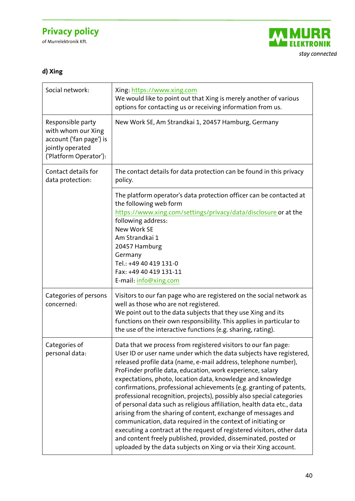of Murrelektronik Kft.



### **d) Xing**

| Social network:                                                                                                  | Xing: https://www.xing.com<br>We would like to point out that Xing is merely another of various<br>options for contacting us or receiving information from us.                                                                                                                                                                                                                                                                                                                                                                                                                                                                                                                                                                                                                                                                                                                                                    |
|------------------------------------------------------------------------------------------------------------------|-------------------------------------------------------------------------------------------------------------------------------------------------------------------------------------------------------------------------------------------------------------------------------------------------------------------------------------------------------------------------------------------------------------------------------------------------------------------------------------------------------------------------------------------------------------------------------------------------------------------------------------------------------------------------------------------------------------------------------------------------------------------------------------------------------------------------------------------------------------------------------------------------------------------|
| Responsible party<br>with whom our Xing<br>account ('fan page') is<br>jointly operated<br>('Platform Operator'): | New Work SE, Am Strandkai 1, 20457 Hamburg, Germany                                                                                                                                                                                                                                                                                                                                                                                                                                                                                                                                                                                                                                                                                                                                                                                                                                                               |
| Contact details for<br>data protection:                                                                          | The contact details for data protection can be found in this privacy<br>policy.                                                                                                                                                                                                                                                                                                                                                                                                                                                                                                                                                                                                                                                                                                                                                                                                                                   |
|                                                                                                                  | The platform operator's data protection officer can be contacted at<br>the following web form<br>https://www.xing.com/settings/privacy/data/disclosure or at the<br>following address:<br><b>New Work SE</b><br>Am Strandkai 1<br>20457 Hamburg<br>Germany<br>Tel.: +49 40 419 131-0<br>Fax: +49 40 419 131-11<br>E-mail: info@xing.com                                                                                                                                                                                                                                                                                                                                                                                                                                                                                                                                                                           |
| Categories of persons<br>concerned:                                                                              | Visitors to our fan page who are registered on the social network as<br>well as those who are not registered.<br>We point out to the data subjects that they use Xing and its<br>functions on their own responsibility. This applies in particular to<br>the use of the interactive functions (e.g. sharing, rating).                                                                                                                                                                                                                                                                                                                                                                                                                                                                                                                                                                                             |
| Categories of<br>personal data:                                                                                  | Data that we process from registered visitors to our fan page:<br>User ID or user name under which the data subjects have registered,<br>released profile data (name, e-mail address, telephone number),<br>ProFinder profile data, education, work experience, salary<br>expectations, photo, location data, knowledge and knowledge<br>confirmations, professional achievements (e.g. granting of patents,<br>professional recognition, projects), possibly also special categories<br>of personal data such as religious affiliation, health data etc., data<br>arising from the sharing of content, exchange of messages and<br>communication, data required in the context of initiating or<br>executing a contract at the request of registered visitors, other data<br>and content freely published, provided, disseminated, posted or<br>uploaded by the data subjects on Xing or via their Xing account. |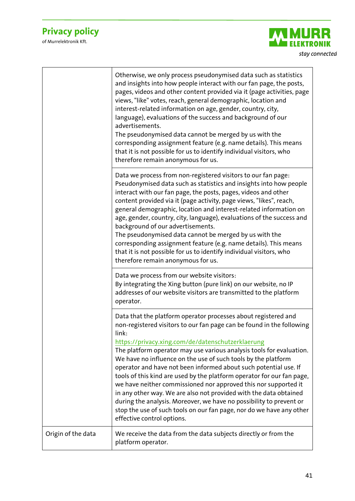

|                    | Otherwise, we only process pseudonymised data such as statistics<br>and insights into how people interact with our fan page, the posts,<br>pages, videos and other content provided via it (page activities, page<br>views, "like" votes, reach, general demographic, location and<br>interest-related information on age, gender, country, city,<br>language), evaluations of the success and background of our<br>advertisements.<br>The pseudonymised data cannot be merged by us with the<br>corresponding assignment feature (e.g. name details). This means<br>that it is not possible for us to identify individual visitors, who<br>therefore remain anonymous for us.                                                                                                                                    |
|--------------------|-------------------------------------------------------------------------------------------------------------------------------------------------------------------------------------------------------------------------------------------------------------------------------------------------------------------------------------------------------------------------------------------------------------------------------------------------------------------------------------------------------------------------------------------------------------------------------------------------------------------------------------------------------------------------------------------------------------------------------------------------------------------------------------------------------------------|
|                    | Data we process from non-registered visitors to our fan page:<br>Pseudonymised data such as statistics and insights into how people<br>interact with our fan page, the posts, pages, videos and other<br>content provided via it (page activity, page views, "likes", reach,<br>general demographic, location and interest-related information on<br>age, gender, country, city, language), evaluations of the success and<br>background of our advertisements.<br>The pseudonymised data cannot be merged by us with the<br>corresponding assignment feature (e.g. name details). This means<br>that it is not possible for us to identify individual visitors, who<br>therefore remain anonymous for us.                                                                                                        |
|                    | Data we process from our website visitors:<br>By integrating the Xing button (pure link) on our website, no IP<br>addresses of our website visitors are transmitted to the platform<br>operator.                                                                                                                                                                                                                                                                                                                                                                                                                                                                                                                                                                                                                  |
|                    | Data that the platform operator processes about registered and<br>non-registered visitors to our fan page can be found in the following<br>link:<br>https://privacy.xing.com/de/datenschutzerklaerung<br>The platform operator may use various analysis tools for evaluation.<br>We have no influence on the use of such tools by the platform<br>operator and have not been informed about such potential use. If<br>tools of this kind are used by the platform operator for our fan page,<br>we have neither commissioned nor approved this nor supported it<br>in any other way. We are also not provided with the data obtained<br>during the analysis. Moreover, we have no possibility to prevent or<br>stop the use of such tools on our fan page, nor do we have any other<br>effective control options. |
| Origin of the data | We receive the data from the data subjects directly or from the<br>platform operator.                                                                                                                                                                                                                                                                                                                                                                                                                                                                                                                                                                                                                                                                                                                             |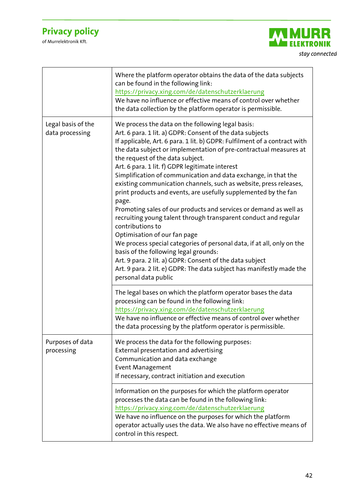

|                                       | Where the platform operator obtains the data of the data subjects<br>can be found in the following link:<br>https://privacy.xing.com/de/datenschutzerklaerung<br>We have no influence or effective means of control over whether<br>the data collection by the platform operator is permissible.                                                                                                                                                                                                                                                                                                                                                                                                                                                                                                                                                                                                                                                                                                                                                       |
|---------------------------------------|--------------------------------------------------------------------------------------------------------------------------------------------------------------------------------------------------------------------------------------------------------------------------------------------------------------------------------------------------------------------------------------------------------------------------------------------------------------------------------------------------------------------------------------------------------------------------------------------------------------------------------------------------------------------------------------------------------------------------------------------------------------------------------------------------------------------------------------------------------------------------------------------------------------------------------------------------------------------------------------------------------------------------------------------------------|
| Legal basis of the<br>data processing | We process the data on the following legal basis:<br>Art. 6 para. 1 lit. a) GDPR: Consent of the data subjects<br>If applicable, Art. 6 para. 1 lit. b) GDPR: Fulfilment of a contract with<br>the data subject or implementation of pre-contractual measures at<br>the request of the data subject.<br>Art. 6 para. 1 lit. f) GDPR legitimate interest<br>Simplification of communication and data exchange, in that the<br>existing communication channels, such as website, press releases,<br>print products and events, are usefully supplemented by the fan<br>page.<br>Promoting sales of our products and services or demand as well as<br>recruiting young talent through transparent conduct and regular<br>contributions to<br>Optimisation of our fan page<br>We process special categories of personal data, if at all, only on the<br>basis of the following legal grounds:<br>Art. 9 para. 2 lit. a) GDPR: Consent of the data subject<br>Art. 9 para. 2 lit. e) GDPR: The data subject has manifestly made the<br>personal data public |
|                                       | The legal bases on which the platform operator bases the data<br>processing can be found in the following link:<br>https://privacy.xing.com/de/datenschutzerklaerung<br>We have no influence or effective means of control over whether<br>the data processing by the platform operator is permissible.                                                                                                                                                                                                                                                                                                                                                                                                                                                                                                                                                                                                                                                                                                                                                |
| Purposes of data<br>processing        | We process the data for the following purposes:<br>External presentation and advertising<br>Communication and data exchange<br><b>Event Management</b><br>If necessary, contract initiation and execution                                                                                                                                                                                                                                                                                                                                                                                                                                                                                                                                                                                                                                                                                                                                                                                                                                              |
|                                       | Information on the purposes for which the platform operator<br>processes the data can be found in the following link:<br>https://privacy.xing.com/de/datenschutzerklaerung<br>We have no influence on the purposes for which the platform<br>operator actually uses the data. We also have no effective means of<br>control in this respect.                                                                                                                                                                                                                                                                                                                                                                                                                                                                                                                                                                                                                                                                                                           |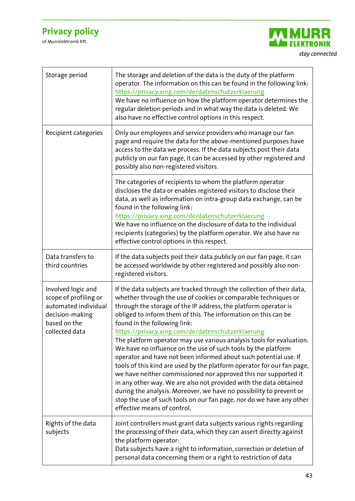

| Storage period                                                                                                           | The storage and deletion of the data is the duty of the platform<br>operator. The information on this can be found in the following link:<br>https://privacy.xing.com/de/datenschutzerklaerung<br>We have no influence on how the platform operator determines the<br>regular deletion periods and in what way the data is deleted. We<br>also have no effective control options in this respect.                                                                                                                                                                                                                                                                                                                                                                                                                                                                                                                                                                               |
|--------------------------------------------------------------------------------------------------------------------------|---------------------------------------------------------------------------------------------------------------------------------------------------------------------------------------------------------------------------------------------------------------------------------------------------------------------------------------------------------------------------------------------------------------------------------------------------------------------------------------------------------------------------------------------------------------------------------------------------------------------------------------------------------------------------------------------------------------------------------------------------------------------------------------------------------------------------------------------------------------------------------------------------------------------------------------------------------------------------------|
| Recipient categories                                                                                                     | Only our employees and service providers who manage our fan<br>page and require the data for the above-mentioned purposes have<br>access to the data we process. If the data subjects post their data<br>publicly on our fan page, it can be accessed by other registered and<br>possibly also non-registered visitors.                                                                                                                                                                                                                                                                                                                                                                                                                                                                                                                                                                                                                                                         |
|                                                                                                                          | The categories of recipients to whom the platform operator<br>discloses the data or enables registered visitors to disclose their<br>data, as well as information on intra-group data exchange, can be<br>found in the following link:<br>https://privacy.xing.com/de/datenschutzerklaerung<br>We have no influence on the disclosure of data to the individual<br>recipients (categories) by the platform operator. We also have no<br>effective control options in this respect.                                                                                                                                                                                                                                                                                                                                                                                                                                                                                              |
| Data transfers to<br>third countries                                                                                     | If the data subjects post their data publicly on our fan page, it can<br>be accessed worldwide by other registered and possibly also non-<br>registered visitors.                                                                                                                                                                                                                                                                                                                                                                                                                                                                                                                                                                                                                                                                                                                                                                                                               |
| Involved logic and<br>scope of profiling or<br>automated individual<br>decision-making<br>based on the<br>collected data | If the data subjects are tracked through the collection of their data,<br>whether through the use of cookies or comparable techniques or<br>through the storage of the IP address, the platform operator is<br>obliged to inform them of this. The information on this can be<br>found in the following link:<br>https://privacy.xing.com/de/datenschutzerklaerung<br>The platform operator may use various analysis tools for evaluation.<br>We have no influence on the use of such tools by the platform<br>operator and have not been informed about such potential use. If<br>tools of this kind are used by the platform operator for our fan page,<br>we have neither commissioned nor approved this nor supported it<br>in any other way. We are also not provided with the data obtained<br>during the analysis. Moreover, we have no possibility to prevent or<br>stop the use of such tools on our fan page, nor do we have any other<br>effective means of control. |
| Rights of the data<br>subjects                                                                                           | Joint controllers must grant data subjects various rights regarding<br>the processing of their data, which they can assert directly against<br>the platform operator:<br>Data subjects have a right to information, correction or deletion of<br>personal data concerning them or a right to restriction of data                                                                                                                                                                                                                                                                                                                                                                                                                                                                                                                                                                                                                                                                |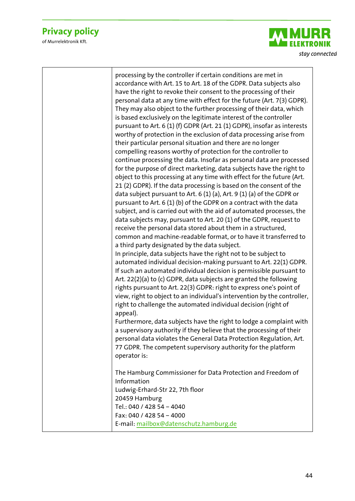of Murrelektronik Kft.



processing by the controller if certain conditions are met in accordance with Art. 15 to Art. 18 of the GDPR. Data subjects also have the right to revoke their consent to the processing of their personal data at any time with effect for the future (Art. 7(3) GDPR). They may also object to the further processing of their data, which is based exclusively on the legitimate interest of the controller pursuant to Art. 6 (1) (f) GDPR (Art. 21 (1) GDPR), insofar as interests worthy of protection in the exclusion of data processing arise from their particular personal situation and there are no longer compelling reasons worthy of protection for the controller to continue processing the data. Insofar as personal data are processed for the purpose of direct marketing, data subjects have the right to object to this processing at any time with effect for the future (Art. 21 (2) GDPR). If the data processing is based on the consent of the data subject pursuant to Art. 6 (1) (a), Art. 9 (1) (a) of the GDPR or pursuant to Art. 6 (1) (b) of the GDPR on a contract with the data subject, and is carried out with the aid of automated processes, the data subjects may, pursuant to Art. 20 (1) of the GDPR, request to receive the personal data stored about them in a structured, common and machine-readable format, or to have it transferred to a third party designated by the data subject. In principle, data subjects have the right not to be subject to automated individual decision-making pursuant to Art. 22(1) GDPR. If such an automated individual decision is permissible pursuant to Art. 22(2)(a) to (c) GDPR, data subjects are granted the following rights pursuant to Art. 22(3) GDPR: right to express one's point of view, right to object to an individual's intervention by the controller, right to challenge the automated individual decision (right of appeal). Furthermore, data subjects have the right to lodge a complaint with a supervisory authority if they believe that the processing of their personal data violates the General Data Protection Regulation, Art. 77 GDPR. The competent supervisory authority for the platform operator is: The Hamburg Commissioner for Data Protection and Freedom of Information Ludwig-Erhard-Str 22, 7th floor 20459 Hamburg Tel.: 040 / 428 54 – 4040 Fax: 040 / 428 54 – 4000

E-mail: [mailbox@datenschutz.hamburg.de](mailto:mailbox@datenschutz.hamburg.de)